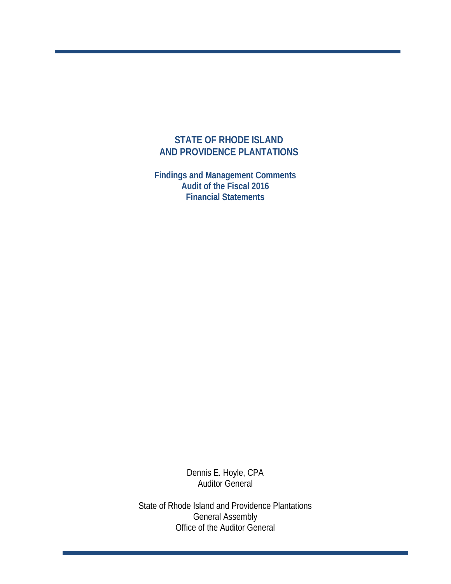### **STATE OF RHODE ISLAND AND PROVIDENCE PLANTATIONS**

**Findings and Management Comments Audit of the Fiscal 2016 Financial Statements**

> Dennis E. Hoyle, CPA Auditor General

State of Rhode Island and Providence Plantations General Assembly Office of the Auditor General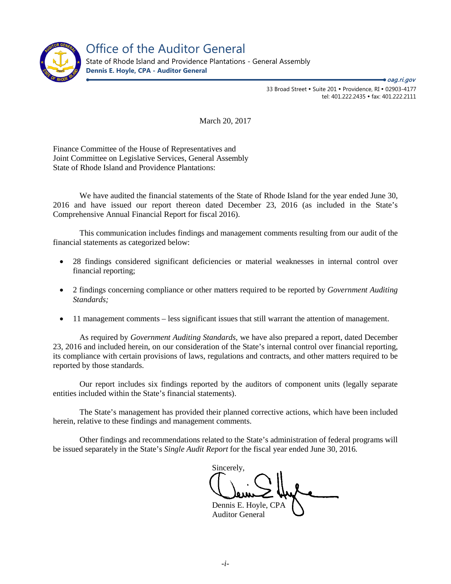

Office of the Auditor General

State of Rhode Island and Providence Plantations - General Assembly **Dennis E. Hoyle, CPA - Auditor General**

> 33 Broad Street • Suite 201 • Providence, RI • 02903-4177 tel: 401.222.2435 fax: 401.222.2111 ● *oag.ri.gov*

March 20, 2017

Finance Committee of the House of Representatives and Joint Committee on Legislative Services, General Assembly State of Rhode Island and Providence Plantations:

We have audited the financial statements of the State of Rhode Island for the year ended June 30, 2016 and have issued our report thereon dated December 23, 2016 (as included in the State's Comprehensive Annual Financial Report for fiscal 2016).

This communication includes findings and management comments resulting from our audit of the financial statements as categorized below:

- 28 findings considered significant deficiencies or material weaknesses in internal control over financial reporting;
- 2 findings concerning compliance or other matters required to be reported by *Government Auditing Standards;*
- 11 management comments less significant issues that still warrant the attention of management.

As required by *Government Auditing Standards,* we have also prepared a report, dated December 23, 2016 and included herein, on our consideration of the State's internal control over financial reporting, its compliance with certain provisions of laws, regulations and contracts, and other matters required to be reported by those standards.

Our report includes six findings reported by the auditors of component units (legally separate entities included within the State's financial statements).

The State's management has provided their planned corrective actions, which have been included herein, relative to these findings and management comments.

Other findings and recommendations related to the State's administration of federal programs will be issued separately in the State's *Single Audit Report* for the fiscal year ended June 30, 2016*.*

Sincerely, Dennis E. Hoyle, CPA

Auditor General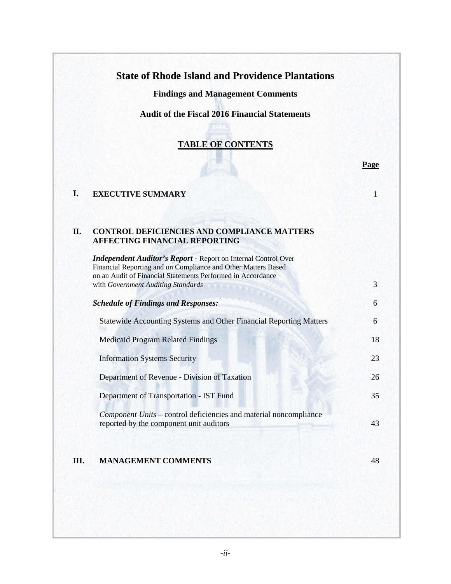## **State of Rhode Island and Providence Plantations**

**Findings and Management Comments**

**Audit of the Fiscal 2016 Financial Statements**

### **TABLE OF CONTENTS**

 **Page**

|  | <b>EXECUTIVE SUMMARY</b> |  |
|--|--------------------------|--|
|--|--------------------------|--|

#### **II. CONTROL DEFICIENCIES AND COMPLIANCE MATTERS AFFECTING FINANCIAL REPORTING**

| on an Audit of Financial Statements Performed in Accordance<br>with Government Auditing Standards            | 3  |
|--------------------------------------------------------------------------------------------------------------|----|
| <b>Schedule of Findings and Responses:</b>                                                                   | 6  |
| <b>Statewide Accounting Systems and Other Financial Reporting Matters</b>                                    | 6  |
| <b>Medicaid Program Related Findings</b>                                                                     | 18 |
| <b>Information Systems Security</b>                                                                          | 23 |
| Department of Revenue - Division of Taxation                                                                 | 26 |
| Department of Transportation - IST Fund                                                                      | 35 |
| Component Units - control deficiencies and material noncompliance<br>reported by the component unit auditors | 43 |
|                                                                                                              |    |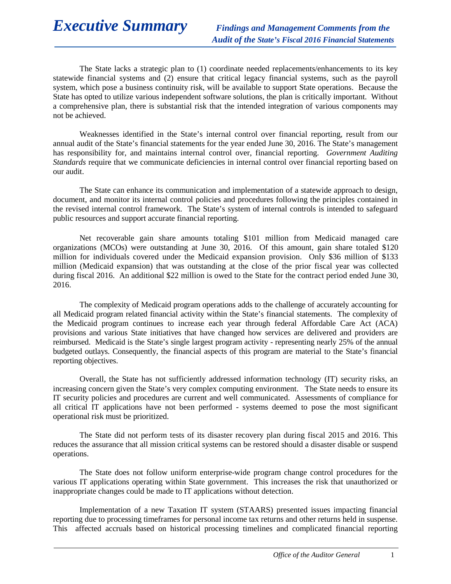# *Executive Summary Findings and Management Comments from the*

The State lacks a strategic plan to (1) coordinate needed replacements/enhancements to its key statewide financial systems and (2) ensure that critical legacy financial systems, such as the payroll system, which pose a business continuity risk, will be available to support State operations. Because the State has opted to utilize various independent software solutions, the plan is critically important. Without a comprehensive plan, there is substantial risk that the intended integration of various components may not be achieved.

Weaknesses identified in the State's internal control over financial reporting, result from our annual audit of the State's financial statements for the year ended June 30, 2016. The State's management has responsibility for, and maintains internal control over, financial reporting. *Government Auditing Standards* require that we communicate deficiencies in internal control over financial reporting based on our audit.

The State can enhance its communication and implementation of a statewide approach to design, document, and monitor its internal control policies and procedures following the principles contained in the revised internal control framework. The State's system of internal controls is intended to safeguard public resources and support accurate financial reporting.

Net recoverable gain share amounts totaling \$101 million from Medicaid managed care organizations (MCOs) were outstanding at June 30, 2016. Of this amount, gain share totaled \$120 million for individuals covered under the Medicaid expansion provision. Only \$36 million of \$133 million (Medicaid expansion) that was outstanding at the close of the prior fiscal year was collected during fiscal 2016. An additional \$22 million is owed to the State for the contract period ended June 30, 2016.

The complexity of Medicaid program operations adds to the challenge of accurately accounting for all Medicaid program related financial activity within the State's financial statements. The complexity of the Medicaid program continues to increase each year through federal Affordable Care Act (ACA) provisions and various State initiatives that have changed how services are delivered and providers are reimbursed. Medicaid is the State's single largest program activity - representing nearly 25% of the annual budgeted outlays. Consequently, the financial aspects of this program are material to the State's financial reporting objectives.

Overall, the State has not sufficiently addressed information technology (IT) security risks, an increasing concern given the State's very complex computing environment. The State needs to ensure its IT security policies and procedures are current and well communicated. Assessments of compliance for all critical IT applications have not been performed - systems deemed to pose the most significant operational risk must be prioritized.

The State did not perform tests of its disaster recovery plan during fiscal 2015 and 2016. This reduces the assurance that all mission critical systems can be restored should a disaster disable or suspend operations.

The State does not follow uniform enterprise-wide program change control procedures for the various IT applications operating within State government. This increases the risk that unauthorized or inappropriate changes could be made to IT applications without detection.

Implementation of a new Taxation IT system (STAARS) presented issues impacting financial reporting due to processing timeframes for personal income tax returns and other returns held in suspense. This affected accruals based on historical processing timelines and complicated financial reporting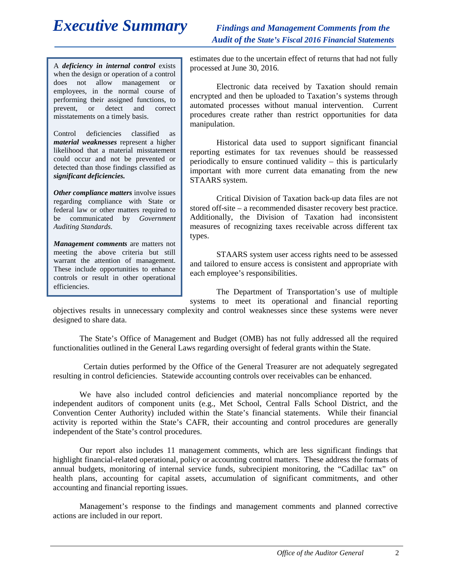# *Executive Summary Findings and Management Comments from the*

*Audit of the State's Fiscal 2016 Financial Statements* 

A *deficiency in internal control* exists when the design or operation of a control does not allow management or employees, in the normal course of performing their assigned functions, to prevent, or detect and correct misstatements on a timely basis.

Control deficiencies classified as *material weaknesses* represent a higher likelihood that a material misstatement could occur and not be prevented or detected than those findings classified as *significant deficiencies.*

*Other compliance matters involve issues* regarding compliance with State or federal law or other matters required to be communicated by *Government Auditing Standards.*

*Management comments* are matters not meeting the above criteria but still warrant the attention of management. These include opportunities to enhance controls or result in other operational efficiencies.

estimates due to the uncertain effect of returns that had not fully processed at June 30, 2016.

Electronic data received by Taxation should remain encrypted and then be uploaded to Taxation's systems through automated processes without manual intervention. Current procedures create rather than restrict opportunities for data manipulation.

Historical data used to support significant financial reporting estimates for tax revenues should be reassessed periodically to ensure continued validity – this is particularly important with more current data emanating from the new STAARS system.

Critical Division of Taxation back-up data files are not stored off-site – a recommended disaster recovery best practice. Additionally, the Division of Taxation had inconsistent measures of recognizing taxes receivable across different tax types.

STAARS system user access rights need to be assessed and tailored to ensure access is consistent and appropriate with each employee's responsibilities.

The Department of Transportation's use of multiple systems to meet its operational and financial reporting

objectives results in unnecessary complexity and control weaknesses since these systems were never designed to share data.

The State's Office of Management and Budget (OMB) has not fully addressed all the required functionalities outlined in the General Laws regarding oversight of federal grants within the State.

 Certain duties performed by the Office of the General Treasurer are not adequately segregated resulting in control deficiencies. Statewide accounting controls over receivables can be enhanced.

We have also included control deficiencies and material noncompliance reported by the independent auditors of component units (e.g., Met School, Central Falls School District, and the Convention Center Authority) included within the State's financial statements. While their financial activity is reported within the State's CAFR, their accounting and control procedures are generally independent of the State's control procedures.

Our report also includes 11 management comments, which are less significant findings that highlight financial-related operational, policy or accounting control matters. These address the formats of annual budgets, monitoring of internal service funds, subrecipient monitoring, the "Cadillac tax" on health plans, accounting for capital assets, accumulation of significant commitments, and other accounting and financial reporting issues.

Management's response to the findings and management comments and planned corrective actions are included in our report.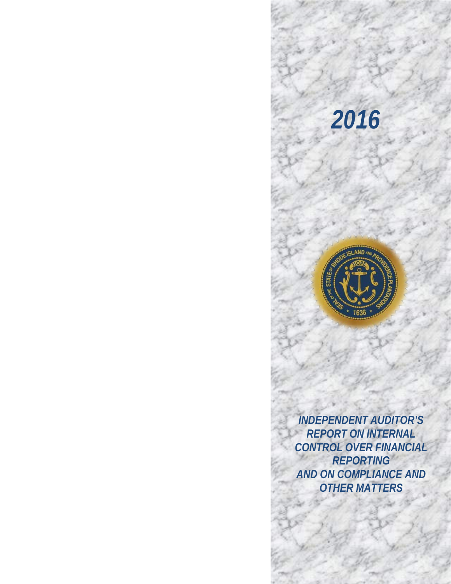# *2016*

*<b>* 



 *AND ON COMPLIANCE AND INDEPENDENT AUDITOR'S REPORT ON INTERNAL CONTROL OVER FINANCIAL REPORTING OTHER MATTERS*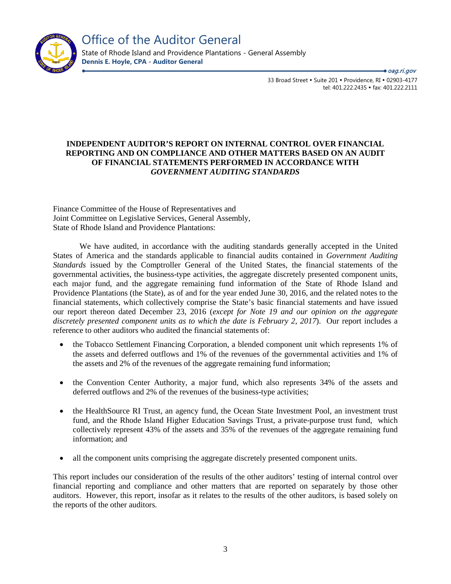

Office of the Auditor General

State of Rhode Island and Providence Plantations - General Assembly **Dennis E. Hoyle, CPA - Auditor General**

> 33 Broad Street • Suite 201 • Providence, RI • 02903-4177 tel: 401.222.2435 · fax: 401.222.2111 ● *oag.ri.gov*

### **INDEPENDENT AUDITOR'S REPORT ON INTERNAL CONTROL OVER FINANCIAL REPORTING AND ON COMPLIANCE AND OTHER MATTERS BASED ON AN AUDIT OF FINANCIAL STATEMENTS PERFORMED IN ACCORDANCE WITH**  *GOVERNMENT AUDITING STANDARDS*

Finance Committee of the House of Representatives and Joint Committee on Legislative Services, General Assembly, State of Rhode Island and Providence Plantations:

We have audited, in accordance with the auditing standards generally accepted in the United States of America and the standards applicable to financial audits contained in *Government Auditing Standards* issued by the Comptroller General of the United States, the financial statements of the governmental activities, the business-type activities, the aggregate discretely presented component units, each major fund, and the aggregate remaining fund information of the State of Rhode Island and Providence Plantations (the State), as of and for the year ended June 30, 2016, and the related notes to the financial statements, which collectively comprise the State's basic financial statements and have issued our report thereon dated December 23, 2016 (*except for Note 19 and our opinion on the aggregate discretely presented component units as to which the date is February 2, 2017*). Our report includes a reference to other auditors who audited the financial statements of:

- the Tobacco Settlement Financing Corporation, a blended component unit which represents 1% of the assets and deferred outflows and 1% of the revenues of the governmental activities and 1% of the assets and 2% of the revenues of the aggregate remaining fund information;
- the Convention Center Authority, a major fund, which also represents 34% of the assets and deferred outflows and 2% of the revenues of the business-type activities;
- the HealthSource RI Trust, an agency fund, the Ocean State Investment Pool, an investment trust fund, and the Rhode Island Higher Education Savings Trust, a private-purpose trust fund, which collectively represent 43% of the assets and 35% of the revenues of the aggregate remaining fund information; and
- all the component units comprising the aggregate discretely presented component units.

This report includes our consideration of the results of the other auditors' testing of internal control over financial reporting and compliance and other matters that are reported on separately by those other auditors. However, this report, insofar as it relates to the results of the other auditors, is based solely on the reports of the other auditors.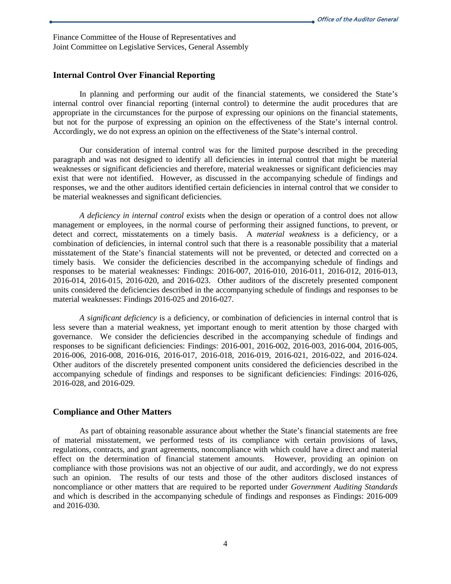Finance Committee of the House of Representatives and Joint Committee on Legislative Services, General Assembly

### **Internal Control Over Financial Reporting**

In planning and performing our audit of the financial statements, we considered the State's internal control over financial reporting (internal control) to determine the audit procedures that are appropriate in the circumstances for the purpose of expressing our opinions on the financial statements, but not for the purpose of expressing an opinion on the effectiveness of the State's internal control. Accordingly, we do not express an opinion on the effectiveness of the State's internal control.

Our consideration of internal control was for the limited purpose described in the preceding paragraph and was not designed to identify all deficiencies in internal control that might be material weaknesses or significant deficiencies and therefore, material weaknesses or significant deficiencies may exist that were not identified. However, as discussed in the accompanying schedule of findings and responses, we and the other auditors identified certain deficiencies in internal control that we consider to be material weaknesses and significant deficiencies.

*A deficiency in internal control* exists when the design or operation of a control does not allow management or employees, in the normal course of performing their assigned functions, to prevent, or detect and correct, misstatements on a timely basis. A *material weakness* is a deficiency, or a combination of deficiencies, in internal control such that there is a reasonable possibility that a material misstatement of the State's financial statements will not be prevented, or detected and corrected on a timely basis. We consider the deficiencies described in the accompanying schedule of findings and responses to be material weaknesses: Findings: 2016-007, 2016-010, 2016-011, 2016-012, 2016-013, 2016-014, 2016-015, 2016-020, and 2016-023. Other auditors of the discretely presented component units considered the deficiencies described in the accompanying schedule of findings and responses to be material weaknesses: Findings 2016-025 and 2016-027.

*A significant deficiency* is a deficiency, or combination of deficiencies in internal control that is less severe than a material weakness, yet important enough to merit attention by those charged with governance. We consider the deficiencies described in the accompanying schedule of findings and responses to be significant deficiencies: Findings: 2016-001, 2016-002, 2016-003, 2016-004, 2016-005, 2016-006, 2016-008, 2016-016, 2016-017, 2016-018, 2016-019, 2016-021, 2016-022, and 2016-024. Other auditors of the discretely presented component units considered the deficiencies described in the accompanying schedule of findings and responses to be significant deficiencies: Findings: 2016-026, 2016-028, and 2016-029.

#### **Compliance and Other Matters**

As part of obtaining reasonable assurance about whether the State's financial statements are free of material misstatement, we performed tests of its compliance with certain provisions of laws, regulations, contracts, and grant agreements, noncompliance with which could have a direct and material effect on the determination of financial statement amounts. However, providing an opinion on compliance with those provisions was not an objective of our audit, and accordingly, we do not express such an opinion. The results of our tests and those of the other auditors disclosed instances of noncompliance or other matters that are required to be reported under *Government Auditing Standards*  and which is described in the accompanying schedule of findings and responses as Findings: 2016-009 and 2016-030.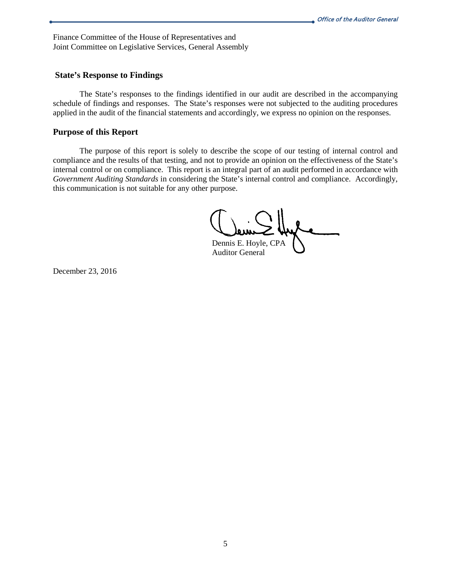Finance Committee of the House of Representatives and Joint Committee on Legislative Services, General Assembly

#### **State's Response to Findings**

The State's responses to the findings identified in our audit are described in the accompanying schedule of findings and responses. The State's responses were not subjected to the auditing procedures applied in the audit of the financial statements and accordingly, we express no opinion on the responses.

#### **Purpose of this Report**

The purpose of this report is solely to describe the scope of our testing of internal control and compliance and the results of that testing, and not to provide an opinion on the effectiveness of the State's internal control or on compliance. This report is an integral part of an audit performed in accordance with *Government Auditing Standards* in considering the State's internal control and compliance. Accordingly, this communication is not suitable for any other purpose.

Dennis E. Hoyle, CPA

Auditor General

December 23, 2016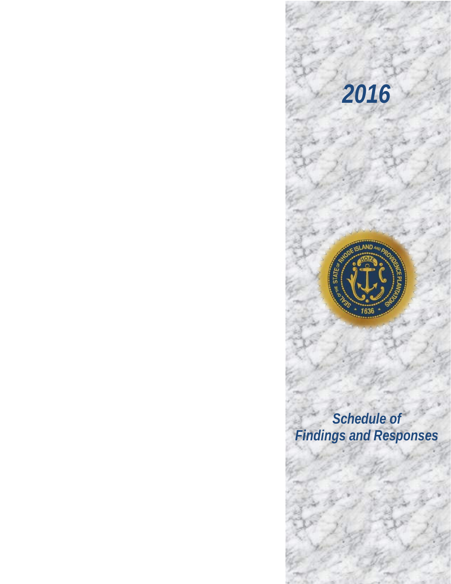

*2016*

*<b>* 

*Schedule of Findings and Responses*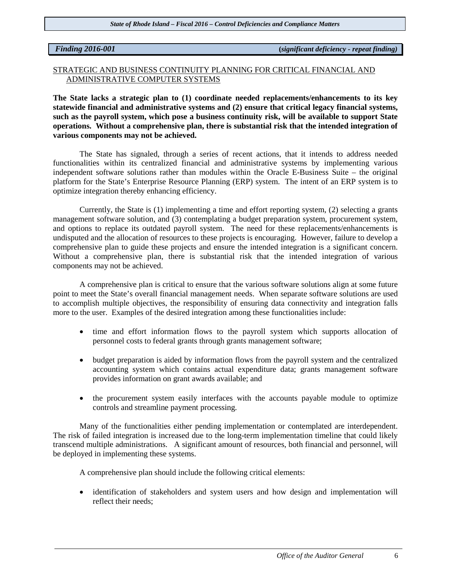*Finding 2016-001* **(***significant deficiency - repeat finding)*

### STRATEGIC AND BUSINESS CONTINUITY PLANNING FOR CRITICAL FINANCIAL AND ADMINISTRATIVE COMPUTER SYSTEMS

**The State lacks a strategic plan to (1) coordinate needed replacements/enhancements to its key statewide financial and administrative systems and (2) ensure that critical legacy financial systems, such as the payroll system, which pose a business continuity risk, will be available to support State operations. Without a comprehensive plan, there is substantial risk that the intended integration of various components may not be achieved.** 

The State has signaled, through a series of recent actions, that it intends to address needed functionalities within its centralized financial and administrative systems by implementing various independent software solutions rather than modules within the Oracle E-Business Suite – the original platform for the State's Enterprise Resource Planning (ERP) system. The intent of an ERP system is to optimize integration thereby enhancing efficiency.

Currently, the State is (1) implementing a time and effort reporting system, (2) selecting a grants management software solution, and (3) contemplating a budget preparation system, procurement system, and options to replace its outdated payroll system. The need for these replacements/enhancements is undisputed and the allocation of resources to these projects is encouraging. However, failure to develop a comprehensive plan to guide these projects and ensure the intended integration is a significant concern. Without a comprehensive plan, there is substantial risk that the intended integration of various components may not be achieved.

A comprehensive plan is critical to ensure that the various software solutions align at some future point to meet the State's overall financial management needs. When separate software solutions are used to accomplish multiple objectives, the responsibility of ensuring data connectivity and integration falls more to the user. Examples of the desired integration among these functionalities include:

- time and effort information flows to the payroll system which supports allocation of personnel costs to federal grants through grants management software;
- budget preparation is aided by information flows from the payroll system and the centralized accounting system which contains actual expenditure data; grants management software provides information on grant awards available; and
- the procurement system easily interfaces with the accounts payable module to optimize controls and streamline payment processing.

Many of the functionalities either pending implementation or contemplated are interdependent. The risk of failed integration is increased due to the long-term implementation timeline that could likely transcend multiple administrations. A significant amount of resources, both financial and personnel, will be deployed in implementing these systems.

A comprehensive plan should include the following critical elements:

• identification of stakeholders and system users and how design and implementation will reflect their needs;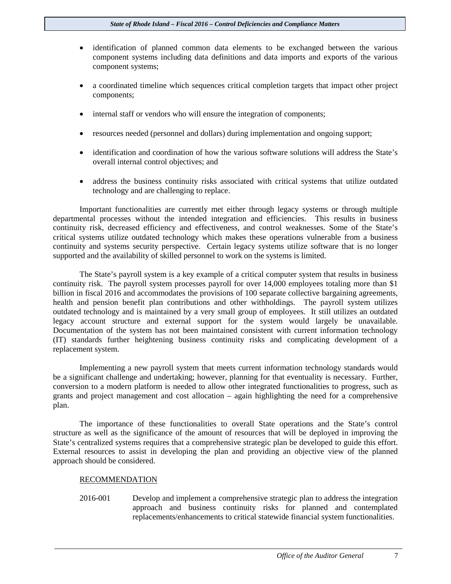- identification of planned common data elements to be exchanged between the various component systems including data definitions and data imports and exports of the various component systems;
- a coordinated timeline which sequences critical completion targets that impact other project components;
- internal staff or vendors who will ensure the integration of components;
- resources needed (personnel and dollars) during implementation and ongoing support;
- identification and coordination of how the various software solutions will address the State's overall internal control objectives; and
- address the business continuity risks associated with critical systems that utilize outdated technology and are challenging to replace.

Important functionalities are currently met either through legacy systems or through multiple departmental processes without the intended integration and efficiencies. This results in business continuity risk, decreased efficiency and effectiveness, and control weaknesses. Some of the State's critical systems utilize outdated technology which makes these operations vulnerable from a business continuity and systems security perspective. Certain legacy systems utilize software that is no longer supported and the availability of skilled personnel to work on the systems is limited.

The State's payroll system is a key example of a critical computer system that results in business continuity risk. The payroll system processes payroll for over 14,000 employees totaling more than \$1 billion in fiscal 2016 and accommodates the provisions of 100 separate collective bargaining agreements, health and pension benefit plan contributions and other withholdings. The payroll system utilizes outdated technology and is maintained by a very small group of employees. It still utilizes an outdated legacy account structure and external support for the system would largely be unavailable. Documentation of the system has not been maintained consistent with current information technology (IT) standards further heightening business continuity risks and complicating development of a replacement system.

Implementing a new payroll system that meets current information technology standards would be a significant challenge and undertaking; however, planning for that eventuality is necessary. Further, conversion to a modern platform is needed to allow other integrated functionalities to progress, such as grants and project management and cost allocation – again highlighting the need for a comprehensive plan.

The importance of these functionalities to overall State operations and the State's control structure as well as the significance of the amount of resources that will be deployed in improving the State's centralized systems requires that a comprehensive strategic plan be developed to guide this effort. External resources to assist in developing the plan and providing an objective view of the planned approach should be considered.

#### RECOMMENDATION

2016-001 Develop and implement a comprehensive strategic plan to address the integration approach and business continuity risks for planned and contemplated replacements/enhancements to critical statewide financial system functionalities.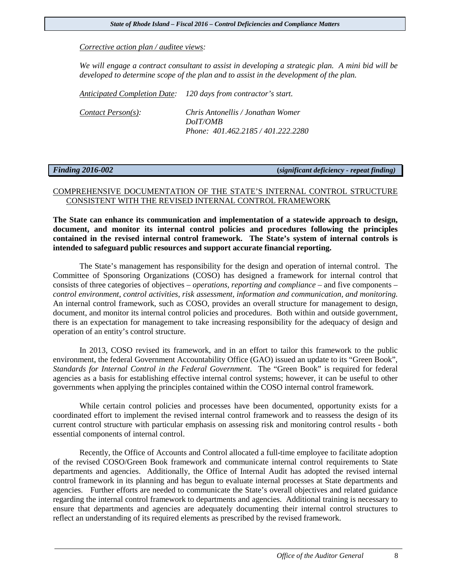*Corrective action plan / auditee views:* 

*We will engage a contract consultant to assist in developing a strategic plan. A mini bid will be developed to determine scope of the plan and to assist in the development of the plan.*

*Anticipated Completion Date: 120 days from contractor's start.*

| Content Person(s): | Chris Antonellis / Jonathan Womer  |
|--------------------|------------------------------------|
|                    | DoIT/OMB                           |
|                    | Phone: 401.462.2185 / 401.222.2280 |

#### *Finding 2016-002* **(***significant deficiency - repeat finding)*

### COMPREHENSIVE DOCUMENTATION OF THE STATE'S INTERNAL CONTROL STRUCTURE CONSISTENT WITH THE REVISED INTERNAL CONTROL FRAMEWORK

**The State can enhance its communication and implementation of a statewide approach to design, document, and monitor its internal control policies and procedures following the principles contained in the revised internal control framework. The State's system of internal controls is intended to safeguard public resources and support accurate financial reporting.** 

The State's management has responsibility for the design and operation of internal control. The Committee of Sponsoring Organizations (COSO) has designed a framework for internal control that consists of three categories of objectives – *operations, reporting and compliance* – and five components – *control environment, control activities, risk assessment, information and communication, and monitoring*. An internal control framework, such as COSO, provides an overall structure for management to design, document, and monitor its internal control policies and procedures. Both within and outside government, there is an expectation for management to take increasing responsibility for the adequacy of design and operation of an entity's control structure.

In 2013, COSO revised its framework, and in an effort to tailor this framework to the public environment, the federal Government Accountability Office (GAO) issued an update to its "Green Book", *Standards for Internal Control in the Federal Government*. The "Green Book" is required for federal agencies as a basis for establishing effective internal control systems; however, it can be useful to other governments when applying the principles contained within the COSO internal control framework.

While certain control policies and processes have been documented, opportunity exists for a coordinated effort to implement the revised internal control framework and to reassess the design of its current control structure with particular emphasis on assessing risk and monitoring control results - both essential components of internal control.

Recently, the Office of Accounts and Control allocated a full-time employee to facilitate adoption of the revised COSO/Green Book framework and communicate internal control requirements to State departments and agencies. Additionally, the Office of Internal Audit has adopted the revised internal control framework in its planning and has begun to evaluate internal processes at State departments and agencies. Further efforts are needed to communicate the State's overall objectives and related guidance regarding the internal control framework to departments and agencies. Additional training is necessary to ensure that departments and agencies are adequately documenting their internal control structures to reflect an understanding of its required elements as prescribed by the revised framework.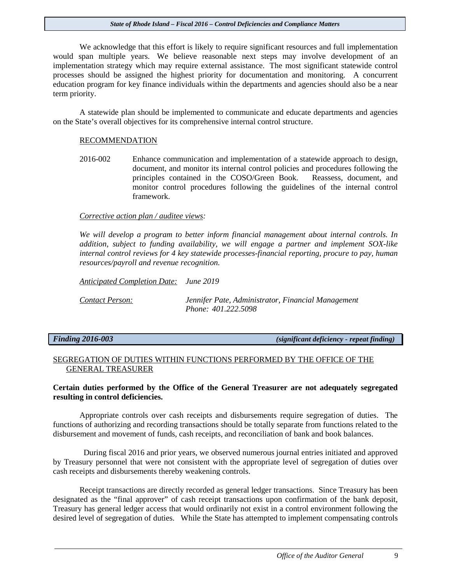We acknowledge that this effort is likely to require significant resources and full implementation would span multiple years. We believe reasonable next steps may involve development of an implementation strategy which may require external assistance. The most significant statewide control processes should be assigned the highest priority for documentation and monitoring. A concurrent education program for key finance individuals within the departments and agencies should also be a near term priority.

A statewide plan should be implemented to communicate and educate departments and agencies on the State's overall objectives for its comprehensive internal control structure.

#### RECOMMENDATION

2016-002 Enhance communication and implementation of a statewide approach to design, document, and monitor its internal control policies and procedures following the principles contained in the COSO/Green Book. Reassess, document, and monitor control procedures following the guidelines of the internal control framework.

#### *Corrective action plan / auditee views:*

*We will develop a program to better inform financial management about internal controls. In addition, subject to funding availability, we will engage a partner and implement SOX-like internal control reviews for 4 key statewide processes-financial reporting, procure to pay, human resources/payroll and revenue recognition.*

*Anticipated Completion Date: June 2019 Contact Person: Jennifer Pate, Administrator, Financial Management Phone: 401.222.5098*

*Finding 2016-003 (significant deficiency - repeat finding)*

### SEGREGATION OF DUTIES WITHIN FUNCTIONS PERFORMED BY THE OFFICE OF THE GENERAL TREASURER

#### **Certain duties performed by the Office of the General Treasurer are not adequately segregated resulting in control deficiencies.**

Appropriate controls over cash receipts and disbursements require segregation of duties. The functions of authorizing and recording transactions should be totally separate from functions related to the disbursement and movement of funds, cash receipts, and reconciliation of bank and book balances.

 During fiscal 2016 and prior years, we observed numerous journal entries initiated and approved by Treasury personnel that were not consistent with the appropriate level of segregation of duties over cash receipts and disbursements thereby weakening controls.

Receipt transactions are directly recorded as general ledger transactions. Since Treasury has been designated as the "final approver" of cash receipt transactions upon confirmation of the bank deposit, Treasury has general ledger access that would ordinarily not exist in a control environment following the desired level of segregation of duties. While the State has attempted to implement compensating controls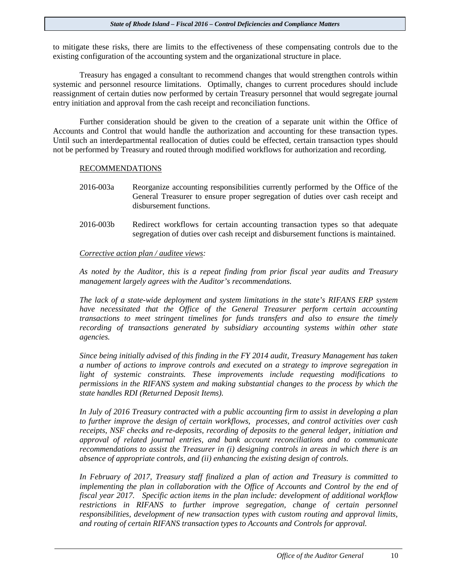to mitigate these risks, there are limits to the effectiveness of these compensating controls due to the existing configuration of the accounting system and the organizational structure in place.

Treasury has engaged a consultant to recommend changes that would strengthen controls within systemic and personnel resource limitations. Optimally, changes to current procedures should include reassignment of certain duties now performed by certain Treasury personnel that would segregate journal entry initiation and approval from the cash receipt and reconciliation functions.

Further consideration should be given to the creation of a separate unit within the Office of Accounts and Control that would handle the authorization and accounting for these transaction types. Until such an interdepartmental reallocation of duties could be effected, certain transaction types should not be performed by Treasury and routed through modified workflows for authorization and recording.

#### RECOMMENDATIONS

- 2016-003a Reorganize accounting responsibilities currently performed by the Office of the General Treasurer to ensure proper segregation of duties over cash receipt and disbursement functions.
- 2016-003b Redirect workflows for certain accounting transaction types so that adequate segregation of duties over cash receipt and disbursement functions is maintained.

#### *Corrective action plan / auditee views:*

*As noted by the Auditor, this is a repeat finding from prior fiscal year audits and Treasury management largely agrees with the Auditor's recommendations.*

*The lack of a state-wide deployment and system limitations in the state's RIFANS ERP system have necessitated that the Office of the General Treasurer perform certain accounting transactions to meet stringent timelines for funds transfers and also to ensure the timely recording of transactions generated by subsidiary accounting systems within other state agencies.*

*Since being initially advised of this finding in the FY 2014 audit, Treasury Management has taken a number of actions to improve controls and executed on a strategy to improve segregation in light of systemic constraints. These improvements include requesting modifications to permissions in the RIFANS system and making substantial changes to the process by which the state handles RDI (Returned Deposit Items).*

*In July of 2016 Treasury contracted with a public accounting firm to assist in developing a plan to further improve the design of certain workflows, processes, and control activities over cash receipts, NSF checks and re-deposits, recording of deposits to the general ledger, initiation and approval of related journal entries, and bank account reconciliations and to communicate recommendations to assist the Treasurer in (i) designing controls in areas in which there is an absence of appropriate controls, and (ii) enhancing the existing design of controls.* 

*In February of 2017, Treasury staff finalized a plan of action and Treasury is committed to implementing the plan in collaboration with the Office of Accounts and Control by the end of fiscal year 2017. Specific action items in the plan include: development of additional workflow*  restrictions in RIFANS to further improve segregation, change of certain personnel *responsibilities, development of new transaction types with custom routing and approval limits, and routing of certain RIFANS transaction types to Accounts and Controls for approval.*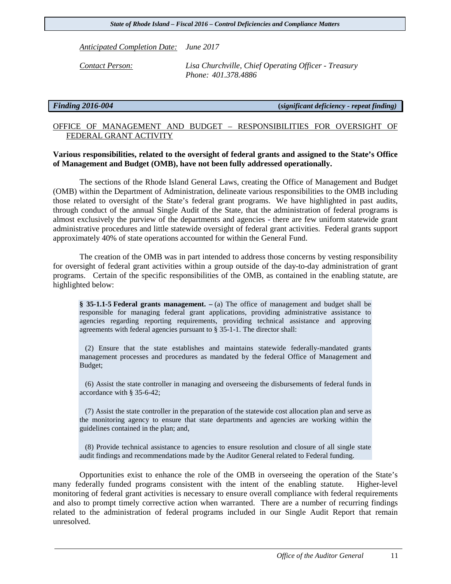*Anticipated Completion Date: June 2017*

*Contact Person: Lisa Churchville, Chief Operating Officer - Treasury Phone: 401.378.4886*

*Finding 2016-004* **(***significant deficiency - repeat finding)* 

### OFFICE OF MANAGEMENT AND BUDGET – RESPONSIBILITIES FOR OVERSIGHT OF FEDERAL GRANT ACTIVITY

#### **Various responsibilities, related to the oversight of federal grants and assigned to the State's Office of Management and Budget (OMB), have not been fully addressed operationally.**

The sections of the Rhode Island General Laws, creating the Office of Management and Budget (OMB) within the Department of Administration, delineate various responsibilities to the OMB including those related to oversight of the State's federal grant programs. We have highlighted in past audits, through conduct of the annual Single Audit of the State, that the administration of federal programs is almost exclusively the purview of the departments and agencies - there are few uniform statewide grant administrative procedures and little statewide oversight of federal grant activities. Federal grants support approximately 40% of state operations accounted for within the General Fund.

The creation of the OMB was in part intended to address those concerns by vesting responsibility for oversight of federal grant activities within a group outside of the day-to-day administration of grant programs. Certain of the specific responsibilities of the OMB, as contained in the enabling statute, are highlighted below:

**§ 35-1.1-5 Federal grants management. –** (a) The office of management and budget shall be responsible for managing federal grant applications, providing administrative assistance to agencies regarding reporting requirements, providing technical assistance and approving agreements with federal agencies pursuant to § 35-1-1. The director shall:

 (2) Ensure that the state establishes and maintains statewide federally-mandated grants management processes and procedures as mandated by the federal Office of Management and Budget;

 (6) Assist the state controller in managing and overseeing the disbursements of federal funds in accordance with § 35-6-42;

 (7) Assist the state controller in the preparation of the statewide cost allocation plan and serve as the monitoring agency to ensure that state departments and agencies are working within the guidelines contained in the plan; and,

 (8) Provide technical assistance to agencies to ensure resolution and closure of all single state audit findings and recommendations made by the Auditor General related to Federal funding.

Opportunities exist to enhance the role of the OMB in overseeing the operation of the State's many federally funded programs consistent with the intent of the enabling statute. Higher-level monitoring of federal grant activities is necessary to ensure overall compliance with federal requirements and also to prompt timely corrective action when warranted. There are a number of recurring findings related to the administration of federal programs included in our Single Audit Report that remain unresolved.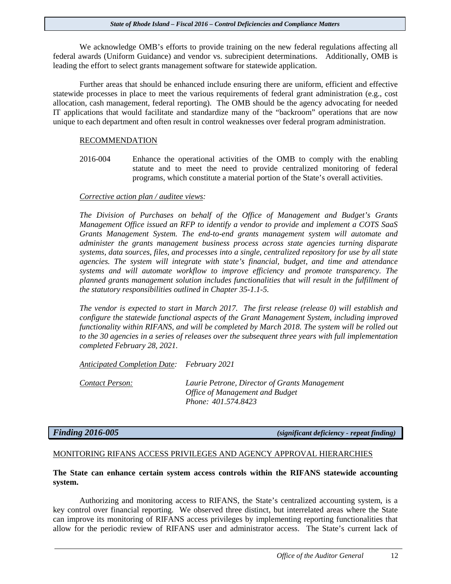We acknowledge OMB's efforts to provide training on the new federal regulations affecting all federal awards (Uniform Guidance) and vendor vs. subrecipient determinations. Additionally, OMB is leading the effort to select grants management software for statewide application.

Further areas that should be enhanced include ensuring there are uniform, efficient and effective statewide processes in place to meet the various requirements of federal grant administration (e.g., cost allocation, cash management, federal reporting). The OMB should be the agency advocating for needed IT applications that would facilitate and standardize many of the "backroom" operations that are now unique to each department and often result in control weaknesses over federal program administration.

#### RECOMMENDATION

2016-004 Enhance the operational activities of the OMB to comply with the enabling statute and to meet the need to provide centralized monitoring of federal programs, which constitute a material portion of the State's overall activities.

#### *Corrective action plan / auditee views:*

*The Division of Purchases on behalf of the Office of Management and Budget's Grants Management Office issued an RFP to identify a vendor to provide and implement a COTS SaaS Grants Management System. The end-to-end grants management system will automate and administer the grants management business process across state agencies turning disparate systems, data sources, files, and processes into a single, centralized repository for use by all state agencies. The system will integrate with state's financial, budget, and time and attendance systems and will automate workflow to improve efficiency and promote transparency. The planned grants management solution includes functionalities that will result in the fulfillment of the statutory responsibilities outlined in Chapter 35-1.1-5.* 

*The vendor is expected to start in March 2017. The first release (release 0) will establish and configure the statewide functional aspects of the Grant Management System, including improved functionality within RIFANS, and will be completed by March 2018. The system will be rolled out to the 30 agencies in a series of releases over the subsequent three years with full implementation completed February 28, 2021.*

*Anticipated Completion Date: February 2021*

*Contact Person: Laurie Petrone, Director of Grants Management Office of Management and Budget Phone: 401.574.8423*

*Finding 2016-005 (significant deficiency - repeat finding)*

#### MONITORING RIFANS ACCESS PRIVILEGES AND AGENCY APPROVAL HIERARCHIES

#### **The State can enhance certain system access controls within the RIFANS statewide accounting system.**

Authorizing and monitoring access to RIFANS, the State's centralized accounting system, is a key control over financial reporting. We observed three distinct, but interrelated areas where the State can improve its monitoring of RIFANS access privileges by implementing reporting functionalities that allow for the periodic review of RIFANS user and administrator access. The State's current lack of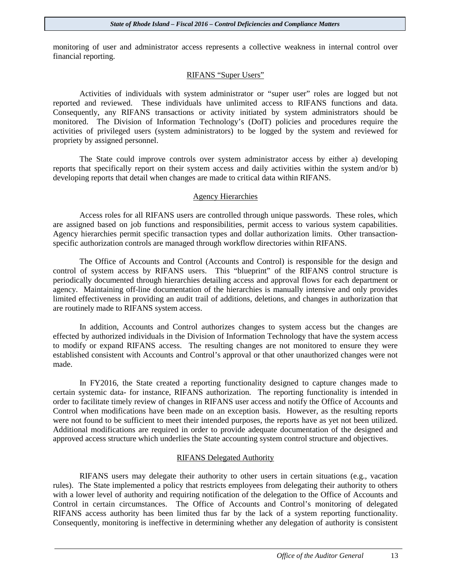monitoring of user and administrator access represents a collective weakness in internal control over financial reporting.

#### RIFANS "Super Users"

Activities of individuals with system administrator or "super user" roles are logged but not reported and reviewed. These individuals have unlimited access to RIFANS functions and data. Consequently, any RIFANS transactions or activity initiated by system administrators should be monitored. The Division of Information Technology's (DoIT) policies and procedures require the activities of privileged users (system administrators) to be logged by the system and reviewed for propriety by assigned personnel.

The State could improve controls over system administrator access by either a) developing reports that specifically report on their system access and daily activities within the system and/or b) developing reports that detail when changes are made to critical data within RIFANS.

#### Agency Hierarchies

Access roles for all RIFANS users are controlled through unique passwords. These roles, which are assigned based on job functions and responsibilities, permit access to various system capabilities. Agency hierarchies permit specific transaction types and dollar authorization limits. Other transactionspecific authorization controls are managed through workflow directories within RIFANS.

The Office of Accounts and Control (Accounts and Control) is responsible for the design and control of system access by RIFANS users. This "blueprint" of the RIFANS control structure is periodically documented through hierarchies detailing access and approval flows for each department or agency. Maintaining off-line documentation of the hierarchies is manually intensive and only provides limited effectiveness in providing an audit trail of additions, deletions, and changes in authorization that are routinely made to RIFANS system access.

In addition, Accounts and Control authorizes changes to system access but the changes are effected by authorized individuals in the Division of Information Technology that have the system access to modify or expand RIFANS access. The resulting changes are not monitored to ensure they were established consistent with Accounts and Control's approval or that other unauthorized changes were not made.

In FY2016, the State created a reporting functionality designed to capture changes made to certain systemic data- for instance, RIFANS authorization. The reporting functionality is intended in order to facilitate timely review of changes in RIFANS user access and notify the Office of Accounts and Control when modifications have been made on an exception basis. However, as the resulting reports were not found to be sufficient to meet their intended purposes, the reports have as yet not been utilized. Additional modifications are required in order to provide adequate documentation of the designed and approved access structure which underlies the State accounting system control structure and objectives.

#### RIFANS Delegated Authority

RIFANS users may delegate their authority to other users in certain situations (e.g., vacation rules). The State implemented a policy that restricts employees from delegating their authority to others with a lower level of authority and requiring notification of the delegation to the Office of Accounts and Control in certain circumstances. The Office of Accounts and Control's monitoring of delegated RIFANS access authority has been limited thus far by the lack of a system reporting functionality. Consequently, monitoring is ineffective in determining whether any delegation of authority is consistent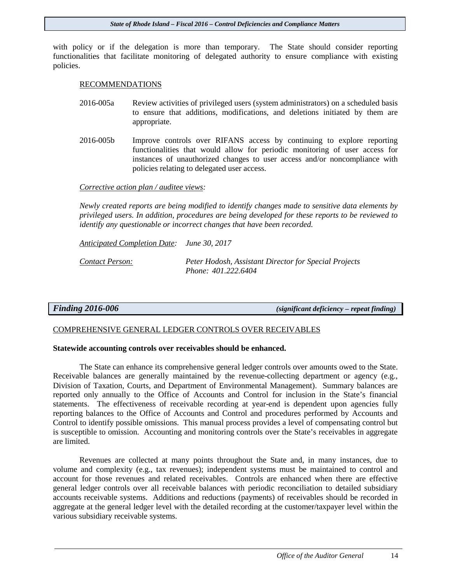with policy or if the delegation is more than temporary. The State should consider reporting functionalities that facilitate monitoring of delegated authority to ensure compliance with existing policies.

#### RECOMMENDATIONS

- 2016-005a Review activities of privileged users (system administrators) on a scheduled basis to ensure that additions, modifications, and deletions initiated by them are appropriate.
- 2016-005b Improve controls over RIFANS access by continuing to explore reporting functionalities that would allow for periodic monitoring of user access for instances of unauthorized changes to user access and/or noncompliance with policies relating to delegated user access.

#### *Corrective action plan / auditee views:*

*Newly created reports are being modified to identify changes made to sensitive data elements by privileged users. In addition, procedures are being developed for these reports to be reviewed to identify any questionable or incorrect changes that have been recorded.* 

*Anticipated Completion Date: June 30, 2017*

*Contact Person: Peter Hodosh, Assistant Director for Special Projects Phone: 401.222.6404*

*Finding 2016-006 (significant deficiency – repeat finding)*

#### COMPREHENSIVE GENERAL LEDGER CONTROLS OVER RECEIVABLES

#### **Statewide accounting controls over receivables should be enhanced.**

The State can enhance its comprehensive general ledger controls over amounts owed to the State. Receivable balances are generally maintained by the revenue-collecting department or agency (e.g., Division of Taxation, Courts, and Department of Environmental Management). Summary balances are reported only annually to the Office of Accounts and Control for inclusion in the State's financial statements. The effectiveness of receivable recording at year-end is dependent upon agencies fully reporting balances to the Office of Accounts and Control and procedures performed by Accounts and Control to identify possible omissions. This manual process provides a level of compensating control but is susceptible to omission. Accounting and monitoring controls over the State's receivables in aggregate are limited.

Revenues are collected at many points throughout the State and, in many instances, due to volume and complexity (e.g., tax revenues); independent systems must be maintained to control and account for those revenues and related receivables. Controls are enhanced when there are effective general ledger controls over all receivable balances with periodic reconciliation to detailed subsidiary accounts receivable systems. Additions and reductions (payments) of receivables should be recorded in aggregate at the general ledger level with the detailed recording at the customer/taxpayer level within the various subsidiary receivable systems.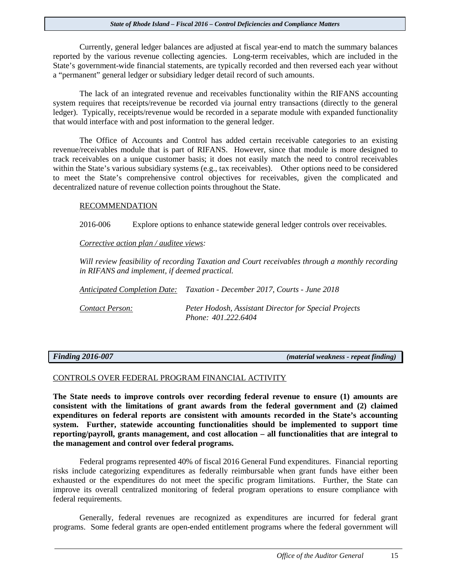Currently, general ledger balances are adjusted at fiscal year-end to match the summary balances reported by the various revenue collecting agencies. Long-term receivables, which are included in the State's government-wide financial statements, are typically recorded and then reversed each year without a "permanent" general ledger or subsidiary ledger detail record of such amounts.

The lack of an integrated revenue and receivables functionality within the RIFANS accounting system requires that receipts/revenue be recorded via journal entry transactions (directly to the general ledger). Typically, receipts/revenue would be recorded in a separate module with expanded functionality that would interface with and post information to the general ledger.

The Office of Accounts and Control has added certain receivable categories to an existing revenue/receivables module that is part of RIFANS. However, since that module is more designed to track receivables on a unique customer basis; it does not easily match the need to control receivables within the State's various subsidiary systems (e.g., tax receivables). Other options need to be considered to meet the State's comprehensive control objectives for receivables, given the complicated and decentralized nature of revenue collection points throughout the State.

#### RECOMMENDATION

2016-006 Explore options to enhance statewide general ledger controls over receivables.

*Corrective action plan / auditee views:* 

*Will review feasibility of recording Taxation and Court receivables through a monthly recording in RIFANS and implement, if deemed practical.*

*Anticipated Completion Date: Taxation - December 2017, Courts - June 2018*

*Contact Person: Peter Hodosh, Assistant Director for Special Projects Phone: 401.222.6404*

*Finding 2016-007 (material weakness - repeat finding)*

#### CONTROLS OVER FEDERAL PROGRAM FINANCIAL ACTIVITY

**The State needs to improve controls over recording federal revenue to ensure (1) amounts are consistent with the limitations of grant awards from the federal government and (2) claimed expenditures on federal reports are consistent with amounts recorded in the State's accounting system. Further, statewide accounting functionalities should be implemented to support time reporting/payroll, grants management, and cost allocation – all functionalities that are integral to the management and control over federal programs.**

Federal programs represented 40% of fiscal 2016 General Fund expenditures. Financial reporting risks include categorizing expenditures as federally reimbursable when grant funds have either been exhausted or the expenditures do not meet the specific program limitations. Further, the State can improve its overall centralized monitoring of federal program operations to ensure compliance with federal requirements.

Generally, federal revenues are recognized as expenditures are incurred for federal grant programs. Some federal grants are open-ended entitlement programs where the federal government will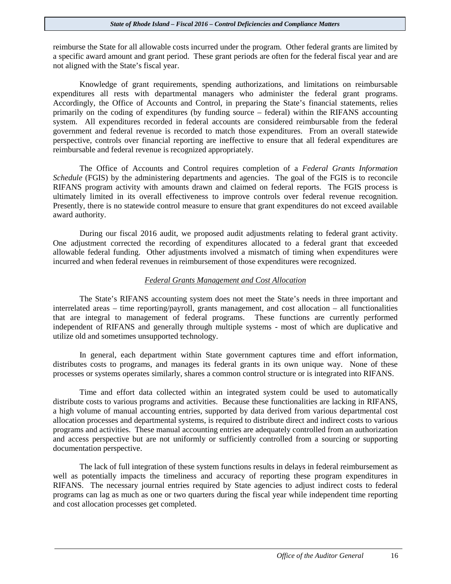reimburse the State for all allowable costs incurred under the program. Other federal grants are limited by a specific award amount and grant period. These grant periods are often for the federal fiscal year and are not aligned with the State's fiscal year.

Knowledge of grant requirements, spending authorizations, and limitations on reimbursable expenditures all rests with departmental managers who administer the federal grant programs. Accordingly, the Office of Accounts and Control, in preparing the State's financial statements, relies primarily on the coding of expenditures (by funding source – federal) within the RIFANS accounting system. All expenditures recorded in federal accounts are considered reimbursable from the federal government and federal revenue is recorded to match those expenditures. From an overall statewide perspective, controls over financial reporting are ineffective to ensure that all federal expenditures are reimbursable and federal revenue is recognized appropriately.

The Office of Accounts and Control requires completion of a *Federal Grants Information Schedule* (FGIS) by the administering departments and agencies. The goal of the FGIS is to reconcile RIFANS program activity with amounts drawn and claimed on federal reports. The FGIS process is ultimately limited in its overall effectiveness to improve controls over federal revenue recognition. Presently, there is no statewide control measure to ensure that grant expenditures do not exceed available award authority.

During our fiscal 2016 audit, we proposed audit adjustments relating to federal grant activity. One adjustment corrected the recording of expenditures allocated to a federal grant that exceeded allowable federal funding. Other adjustments involved a mismatch of timing when expenditures were incurred and when federal revenues in reimbursement of those expenditures were recognized.

#### *Federal Grants Management and Cost Allocation*

The State's RIFANS accounting system does not meet the State's needs in three important and interrelated areas – time reporting/payroll, grants management, and cost allocation – all functionalities that are integral to management of federal programs. These functions are currently performed independent of RIFANS and generally through multiple systems - most of which are duplicative and utilize old and sometimes unsupported technology.

In general, each department within State government captures time and effort information, distributes costs to programs, and manages its federal grants in its own unique way. None of these processes or systems operates similarly, shares a common control structure or is integrated into RIFANS.

Time and effort data collected within an integrated system could be used to automatically distribute costs to various programs and activities. Because these functionalities are lacking in RIFANS, a high volume of manual accounting entries, supported by data derived from various departmental cost allocation processes and departmental systems, is required to distribute direct and indirect costs to various programs and activities. These manual accounting entries are adequately controlled from an authorization and access perspective but are not uniformly or sufficiently controlled from a sourcing or supporting documentation perspective.

The lack of full integration of these system functions results in delays in federal reimbursement as well as potentially impacts the timeliness and accuracy of reporting these program expenditures in RIFANS. The necessary journal entries required by State agencies to adjust indirect costs to federal programs can lag as much as one or two quarters during the fiscal year while independent time reporting and cost allocation processes get completed.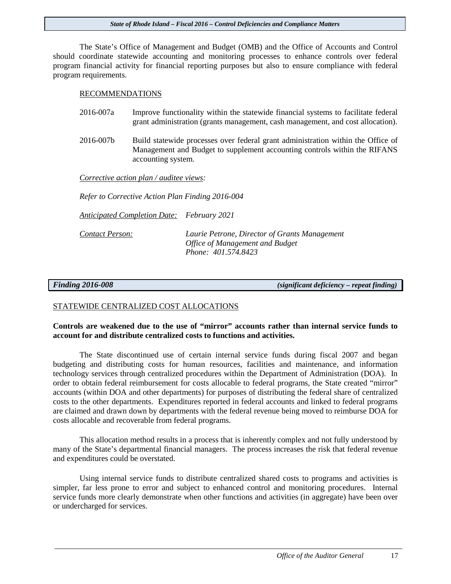The State's Office of Management and Budget (OMB) and the Office of Accounts and Control should coordinate statewide accounting and monitoring processes to enhance controls over federal program financial activity for financial reporting purposes but also to ensure compliance with federal program requirements.

#### RECOMMENDATIONS

- 2016-007a Improve functionality within the statewide financial systems to facilitate federal grant administration (grants management, cash management, and cost allocation).
- 2016-007b Build statewide processes over federal grant administration within the Office of Management and Budget to supplement accounting controls within the RIFANS accounting system.

*Corrective action plan / auditee views:* 

*Refer to Corrective Action Plan Finding 2016-004*

*Anticipated Completion Date: February 2021*

*Contact Person: Laurie Petrone, Director of Grants Management Office of Management and Budget Phone: 401.574.8423*

*Finding 2016-008**(significant deficiency – repeat finding)* 

#### STATEWIDE CENTRALIZED COST ALLOCATIONS

#### **Controls are weakened due to the use of "mirror" accounts rather than internal service funds to account for and distribute centralized costs to functions and activities.**

The State discontinued use of certain internal service funds during fiscal 2007 and began budgeting and distributing costs for human resources, facilities and maintenance, and information technology services through centralized procedures within the Department of Administration (DOA). In order to obtain federal reimbursement for costs allocable to federal programs, the State created "mirror" accounts (within DOA and other departments) for purposes of distributing the federal share of centralized costs to the other departments. Expenditures reported in federal accounts and linked to federal programs are claimed and drawn down by departments with the federal revenue being moved to reimburse DOA for costs allocable and recoverable from federal programs.

This allocation method results in a process that is inherently complex and not fully understood by many of the State's departmental financial managers. The process increases the risk that federal revenue and expenditures could be overstated.

Using internal service funds to distribute centralized shared costs to programs and activities is simpler, far less prone to error and subject to enhanced control and monitoring procedures. Internal service funds more clearly demonstrate when other functions and activities (in aggregate) have been over or undercharged for services.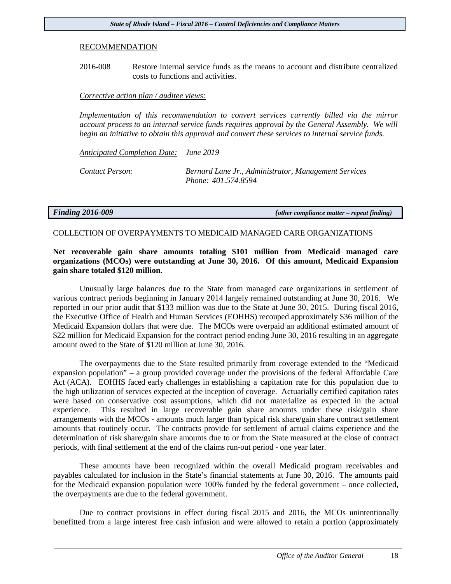#### RECOMMENDATION

2016-008 Restore internal service funds as the means to account and distribute centralized costs to functions and activities.

#### *Corrective action plan / auditee views:*

*Implementation of this recommendation to convert services currently billed via the mirror account process to an internal service funds requires approval by the General Assembly. We will begin an initiative to obtain this approval and convert these services to internal service funds.*

*Anticipated Completion Date: June 2019*

*Contact Person: Bernard Lane Jr., Administrator, Management Services Phone: 401.574.8594*

*Finding 2016-009 (other compliance matter – repeat finding)*

#### COLLECTION OF OVERPAYMENTS TO MEDICAID MANAGED CARE ORGANIZATIONS

### **Net recoverable gain share amounts totaling \$101 million from Medicaid managed care organizations (MCOs) were outstanding at June 30, 2016. Of this amount, Medicaid Expansion gain share totaled \$120 million.**

Unusually large balances due to the State from managed care organizations in settlement of various contract periods beginning in January 2014 largely remained outstanding at June 30, 2016. We reported in our prior audit that \$133 million was due to the State at June 30, 2015. During fiscal 2016, the Executive Office of Health and Human Services (EOHHS) recouped approximately \$36 million of the Medicaid Expansion dollars that were due. The MCOs were overpaid an additional estimated amount of \$22 million for Medicaid Expansion for the contract period ending June 30, 2016 resulting in an aggregate amount owed to the State of \$120 million at June 30, 2016.

The overpayments due to the State resulted primarily from coverage extended to the "Medicaid expansion population" – a group provided coverage under the provisions of the federal Affordable Care Act (ACA). EOHHS faced early challenges in establishing a capitation rate for this population due to the high utilization of services expected at the inception of coverage. Actuarially certified capitation rates were based on conservative cost assumptions, which did not materialize as expected in the actual experience. This resulted in large recoverable gain share amounts under these risk/gain share arrangements with the MCOs - amounts much larger than typical risk share/gain share contract settlement amounts that routinely occur. The contracts provide for settlement of actual claims experience and the determination of risk share/gain share amounts due to or from the State measured at the close of contract periods, with final settlement at the end of the claims run-out period - one year later.

These amounts have been recognized within the overall Medicaid program receivables and payables calculated for inclusion in the State's financial statements at June 30, 2016. The amounts paid for the Medicaid expansion population were 100% funded by the federal government – once collected, the overpayments are due to the federal government.

Due to contract provisions in effect during fiscal 2015 and 2016, the MCOs unintentionally benefitted from a large interest free cash infusion and were allowed to retain a portion (approximately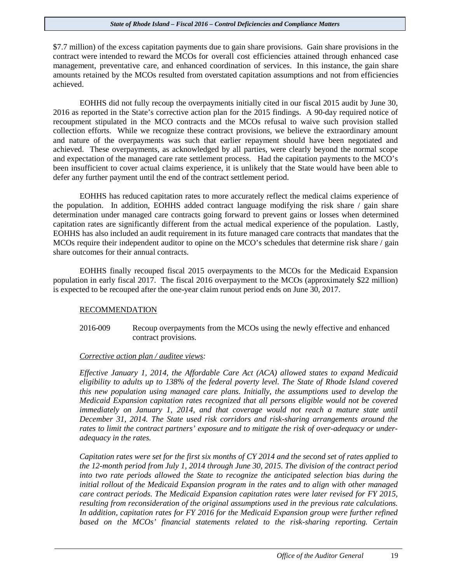\$7.7 million) of the excess capitation payments due to gain share provisions. Gain share provisions in the contract were intended to reward the MCOs for overall cost efficiencies attained through enhanced case management, preventative care, and enhanced coordination of services. In this instance, the gain share amounts retained by the MCOs resulted from overstated capitation assumptions and not from efficiencies achieved.

EOHHS did not fully recoup the overpayments initially cited in our fiscal 2015 audit by June 30, 2016 as reported in the State's corrective action plan for the 2015 findings. A 90-day required notice of recoupment stipulated in the MCO contracts and the MCOs refusal to waive such provision stalled collection efforts. While we recognize these contract provisions, we believe the extraordinary amount and nature of the overpayments was such that earlier repayment should have been negotiated and achieved. These overpayments, as acknowledged by all parties, were clearly beyond the normal scope and expectation of the managed care rate settlement process. Had the capitation payments to the MCO's been insufficient to cover actual claims experience, it is unlikely that the State would have been able to defer any further payment until the end of the contract settlement period.

EOHHS has reduced capitation rates to more accurately reflect the medical claims experience of the population. In addition, EOHHS added contract language modifying the risk share / gain share determination under managed care contracts going forward to prevent gains or losses when determined capitation rates are significantly different from the actual medical experience of the population. Lastly, EOHHS has also included an audit requirement in its future managed care contracts that mandates that the MCOs require their independent auditor to opine on the MCO's schedules that determine risk share / gain share outcomes for their annual contracts.

EOHHS finally recouped fiscal 2015 overpayments to the MCOs for the Medicaid Expansion population in early fiscal 2017. The fiscal 2016 overpayment to the MCOs (approximately \$22 million) is expected to be recouped after the one-year claim runout period ends on June 30, 2017.

#### RECOMMENDATION

2016-009 Recoup overpayments from the MCOs using the newly effective and enhanced contract provisions.

#### *Corrective action plan / auditee views:*

*Effective January 1, 2014, the Affordable Care Act (ACA) allowed states to expand Medicaid eligibility to adults up to 138% of the federal poverty level. The State of Rhode Island covered this new population using managed care plans. Initially, the assumptions used to develop the Medicaid Expansion capitation rates recognized that all persons eligible would not be covered immediately on January 1, 2014, and that coverage would not reach a mature state until December 31, 2014. The State used risk corridors and risk-sharing arrangements around the rates to limit the contract partners' exposure and to mitigate the risk of over-adequacy or underadequacy in the rates.* 

*Capitation rates were set for the first six months of CY 2014 and the second set of rates applied to the 12-month period from July 1, 2014 through June 30, 2015. The division of the contract period into two rate periods allowed the State to recognize the anticipated selection bias during the initial rollout of the Medicaid Expansion program in the rates and to align with other managed care contract periods. The Medicaid Expansion capitation rates were later revised for FY 2015, resulting from reconsideration of the original assumptions used in the previous rate calculations. In addition, capitation rates for FY 2016 for the Medicaid Expansion group were further refined based on the MCOs' financial statements related to the risk-sharing reporting. Certain*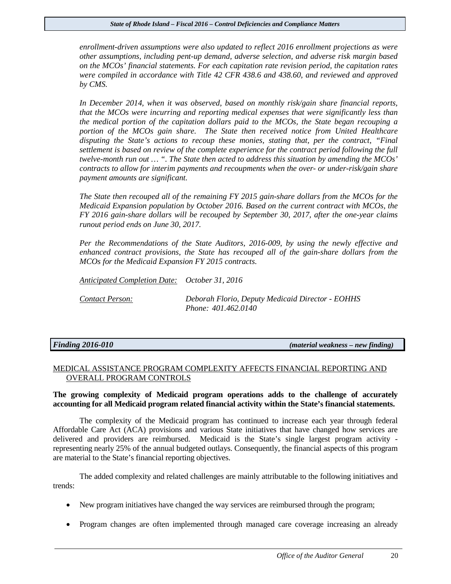*enrollment-driven assumptions were also updated to reflect 2016 enrollment projections as were other assumptions, including pent-up demand, adverse selection, and adverse risk margin based on the MCOs' financial statements. For each capitation rate revision period, the capitation rates were compiled in accordance with Title 42 CFR 438.6 and 438.60, and reviewed and approved by CMS.*

*In December 2014, when it was observed, based on monthly risk/gain share financial reports, that the MCOs were incurring and reporting medical expenses that were significantly less than the medical portion of the capitation dollars paid to the MCOs, the State began recouping a portion of the MCOs gain share. The State then received notice from United Healthcare disputing the State's actions to recoup these monies, stating that, per the contract, "Final settlement is based on review of the complete experience for the contract period following the full twelve-month run out … ". The State then acted to address this situation by amending the MCOs' contracts to allow for interim payments and recoupments when the over- or under-risk/gain share payment amounts are significant.* 

*The State then recouped all of the remaining FY 2015 gain-share dollars from the MCOs for the Medicaid Expansion population by October 2016. Based on the current contract with MCOs, the FY 2016 gain-share dollars will be recouped by September 30, 2017, after the one-year claims runout period ends on June 30, 2017.*

*Per the Recommendations of the State Auditors, 2016-009, by using the newly effective and enhanced contract provisions, the State has recouped all of the gain-share dollars from the MCOs for the Medicaid Expansion FY 2015 contracts.*

*Anticipated Completion Date: October 31, 2016 Contact Person: Deborah Florio, Deputy Medicaid Director - EOHHS Phone: 401.462.0140* 

*Finding 2016-010 (material weakness – new finding)*

#### MEDICAL ASSISTANCE PROGRAM COMPLEXITY AFFECTS FINANCIAL REPORTING AND OVERALL PROGRAM CONTROLS

#### **The growing complexity of Medicaid program operations adds to the challenge of accurately accounting for all Medicaid program related financial activity within the State's financial statements.**

The complexity of the Medicaid program has continued to increase each year through federal Affordable Care Act (ACA) provisions and various State initiatives that have changed how services are delivered and providers are reimbursed. Medicaid is the State's single largest program activity representing nearly 25% of the annual budgeted outlays. Consequently, the financial aspects of this program are material to the State's financial reporting objectives.

The added complexity and related challenges are mainly attributable to the following initiatives and trends:

- New program initiatives have changed the way services are reimbursed through the program;
- Program changes are often implemented through managed care coverage increasing an already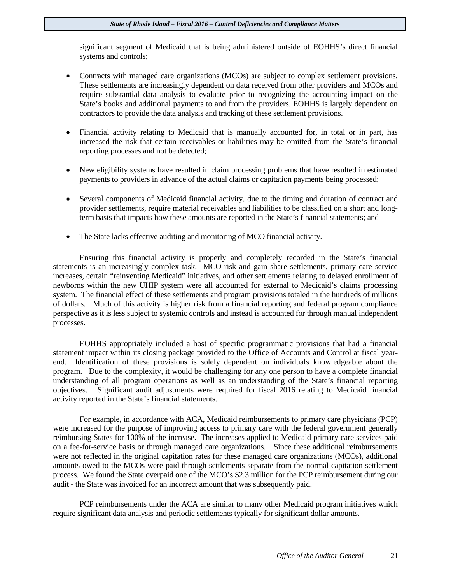significant segment of Medicaid that is being administered outside of EOHHS's direct financial systems and controls;

- Contracts with managed care organizations (MCOs) are subject to complex settlement provisions. These settlements are increasingly dependent on data received from other providers and MCOs and require substantial data analysis to evaluate prior to recognizing the accounting impact on the State's books and additional payments to and from the providers. EOHHS is largely dependent on contractors to provide the data analysis and tracking of these settlement provisions.
- Financial activity relating to Medicaid that is manually accounted for, in total or in part, has increased the risk that certain receivables or liabilities may be omitted from the State's financial reporting processes and not be detected;
- New eligibility systems have resulted in claim processing problems that have resulted in estimated payments to providers in advance of the actual claims or capitation payments being processed;
- Several components of Medicaid financial activity, due to the timing and duration of contract and provider settlements, require material receivables and liabilities to be classified on a short and longterm basis that impacts how these amounts are reported in the State's financial statements; and
- The State lacks effective auditing and monitoring of MCO financial activity.

Ensuring this financial activity is properly and completely recorded in the State's financial statements is an increasingly complex task. MCO risk and gain share settlements, primary care service increases, certain "reinventing Medicaid" initiatives, and other settlements relating to delayed enrollment of newborns within the new UHIP system were all accounted for external to Medicaid's claims processing system. The financial effect of these settlements and program provisions totaled in the hundreds of millions of dollars. Much of this activity is higher risk from a financial reporting and federal program compliance perspective as it is less subject to systemic controls and instead is accounted for through manual independent processes.

EOHHS appropriately included a host of specific programmatic provisions that had a financial statement impact within its closing package provided to the Office of Accounts and Control at fiscal yearend. Identification of these provisions is solely dependent on individuals knowledgeable about the program. Due to the complexity, it would be challenging for any one person to have a complete financial understanding of all program operations as well as an understanding of the State's financial reporting objectives. Significant audit adjustments were required for fiscal 2016 relating to Medicaid financial activity reported in the State's financial statements.

For example, in accordance with ACA, Medicaid reimbursements to primary care physicians (PCP) were increased for the purpose of improving access to primary care with the federal government generally reimbursing States for 100% of the increase. The increases applied to Medicaid primary care services paid on a fee-for-service basis or through managed care organizations. Since these additional reimbursements were not reflected in the original capitation rates for these managed care organizations (MCOs), additional amounts owed to the MCOs were paid through settlements separate from the normal capitation settlement process. We found the State overpaid one of the MCO's \$2.3 million for the PCP reimbursement during our audit - the State was invoiced for an incorrect amount that was subsequently paid.

PCP reimbursements under the ACA are similar to many other Medicaid program initiatives which require significant data analysis and periodic settlements typically for significant dollar amounts.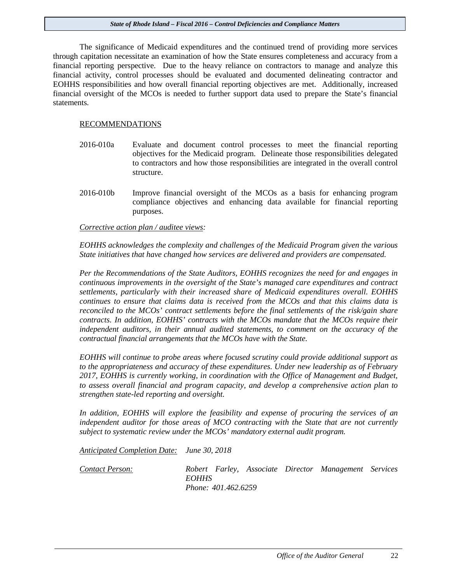The significance of Medicaid expenditures and the continued trend of providing more services through capitation necessitate an examination of how the State ensures completeness and accuracy from a financial reporting perspective. Due to the heavy reliance on contractors to manage and analyze this financial activity, control processes should be evaluated and documented delineating contractor and EOHHS responsibilities and how overall financial reporting objectives are met. Additionally, increased financial oversight of the MCOs is needed to further support data used to prepare the State's financial statements.

#### RECOMMENDATIONS

- 2016-010a Evaluate and document control processes to meet the financial reporting objectives for the Medicaid program. Delineate those responsibilities delegated to contractors and how those responsibilities are integrated in the overall control structure.
- 2016-010b Improve financial oversight of the MCOs as a basis for enhancing program compliance objectives and enhancing data available for financial reporting purposes.

*Corrective action plan / auditee views:* 

*EOHHS acknowledges the complexity and challenges of the Medicaid Program given the various State initiatives that have changed how services are delivered and providers are compensated.* 

*Per the Recommendations of the State Auditors, EOHHS recognizes the need for and engages in continuous improvements in the oversight of the State's managed care expenditures and contract settlements, particularly with their increased share of Medicaid expenditures overall. EOHHS continues to ensure that claims data is received from the MCOs and that this claims data is reconciled to the MCOs' contract settlements before the final settlements of the risk/gain share contracts. In addition, EOHHS' contracts with the MCOs mandate that the MCOs require their independent auditors, in their annual audited statements, to comment on the accuracy of the contractual financial arrangements that the MCOs have with the State.*

*EOHHS will continue to probe areas where focused scrutiny could provide additional support as to the appropriateness and accuracy of these expenditures. Under new leadership as of February 2017, EOHHS is currently working, in coordination with the Office of Management and Budget, to assess overall financial and program capacity, and develop a comprehensive action plan to strengthen state-led reporting and oversight.* 

*In addition, EOHHS will explore the feasibility and expense of procuring the services of an independent auditor for those areas of MCO contracting with the State that are not currently subject to systematic review under the MCOs' mandatory external audit program.* 

*Anticipated Completion Date: June 30, 2018* 

*Contact Person: Robert Farley, Associate Director Management Services EOHHS Phone: 401.462.6259*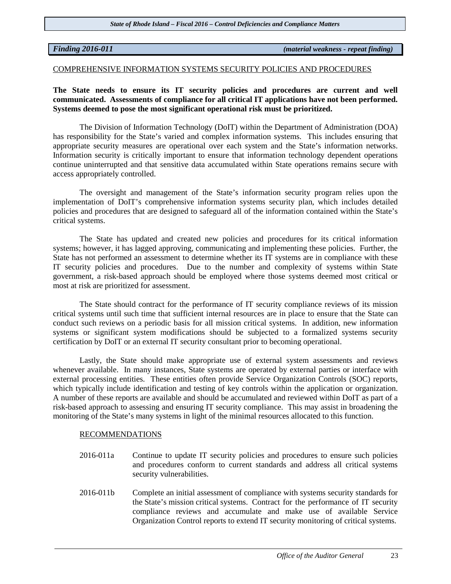*Finding 2016-011 (material weakness - repeat finding)*

#### COMPREHENSIVE INFORMATION SYSTEMS SECURITY POLICIES AND PROCEDURES

**The State needs to ensure its IT security policies and procedures are current and well communicated. Assessments of compliance for all critical IT applications have not been performed. Systems deemed to pose the most significant operational risk must be prioritized.**

The Division of Information Technology (DoIT) within the Department of Administration (DOA) has responsibility for the State's varied and complex information systems. This includes ensuring that appropriate security measures are operational over each system and the State's information networks. Information security is critically important to ensure that information technology dependent operations continue uninterrupted and that sensitive data accumulated within State operations remains secure with access appropriately controlled.

The oversight and management of the State's information security program relies upon the implementation of DoIT's comprehensive information systems security plan, which includes detailed policies and procedures that are designed to safeguard all of the information contained within the State's critical systems.

The State has updated and created new policies and procedures for its critical information systems; however, it has lagged approving, communicating and implementing these policies. Further, the State has not performed an assessment to determine whether its IT systems are in compliance with these IT security policies and procedures. Due to the number and complexity of systems within State government, a risk-based approach should be employed where those systems deemed most critical or most at risk are prioritized for assessment.

The State should contract for the performance of IT security compliance reviews of its mission critical systems until such time that sufficient internal resources are in place to ensure that the State can conduct such reviews on a periodic basis for all mission critical systems. In addition, new information systems or significant system modifications should be subjected to a formalized systems security certification by DoIT or an external IT security consultant prior to becoming operational.

Lastly, the State should make appropriate use of external system assessments and reviews whenever available. In many instances, State systems are operated by external parties or interface with external processing entities. These entities often provide Service Organization Controls (SOC) reports, which typically include identification and testing of key controls within the application or organization. A number of these reports are available and should be accumulated and reviewed within DoIT as part of a risk-based approach to assessing and ensuring IT security compliance. This may assist in broadening the monitoring of the State's many systems in light of the minimal resources allocated to this function.

#### RECOMMENDATIONS

- 2016-011a Continue to update IT security policies and procedures to ensure such policies and procedures conform to current standards and address all critical systems security vulnerabilities.
- 2016-011b Complete an initial assessment of compliance with systems security standards for the State's mission critical systems. Contract for the performance of IT security compliance reviews and accumulate and make use of available Service Organization Control reports to extend IT security monitoring of critical systems.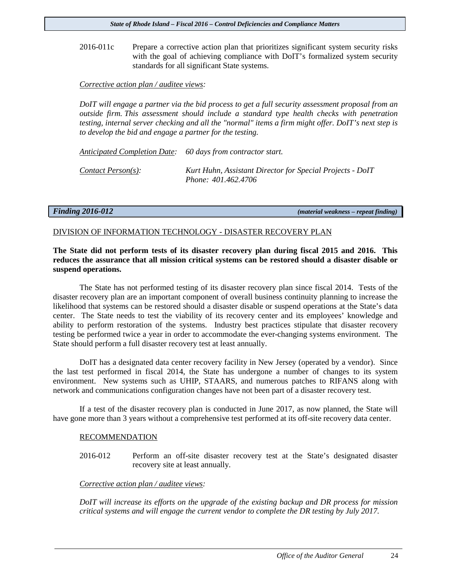2016-011c Prepare a corrective action plan that prioritizes significant system security risks with the goal of achieving compliance with DoIT's formalized system security standards for all significant State systems.

#### *Corrective action plan / auditee views:*

*DoIT will engage a partner via the bid process to get a full security assessment proposal from an outside firm. This assessment should include a standard type health checks with penetration testing, internal server checking and all the "normal" items a firm might offer. DoIT's next step is to develop the bid and engage a partner for the testing.* 

*Anticipated Completion Date: 60 days from contractor start.*

*Contact Person(s): Kurt Huhn, Assistant Director for Special Projects - DoIT Phone: 401.462.4706*

*Finding 2016-012 (material weakness – repeat finding)* 

#### DIVISION OF INFORMATION TECHNOLOGY - DISASTER RECOVERY PLAN

**The State did not perform tests of its disaster recovery plan during fiscal 2015 and 2016. This reduces the assurance that all mission critical systems can be restored should a disaster disable or suspend operations.**

The State has not performed testing of its disaster recovery plan since fiscal 2014. Tests of the disaster recovery plan are an important component of overall business continuity planning to increase the likelihood that systems can be restored should a disaster disable or suspend operations at the State's data center. The State needs to test the viability of its recovery center and its employees' knowledge and ability to perform restoration of the systems. Industry best practices stipulate that disaster recovery testing be performed twice a year in order to accommodate the ever-changing systems environment. The State should perform a full disaster recovery test at least annually.

DoIT has a designated data center recovery facility in New Jersey (operated by a vendor). Since the last test performed in fiscal 2014, the State has undergone a number of changes to its system environment. New systems such as UHIP, STAARS, and numerous patches to RIFANS along with network and communications configuration changes have not been part of a disaster recovery test.

If a test of the disaster recovery plan is conducted in June 2017, as now planned, the State will have gone more than 3 years without a comprehensive test performed at its off-site recovery data center.

#### RECOMMENDATION

2016-012 Perform an off-site disaster recovery test at the State's designated disaster recovery site at least annually.

#### *Corrective action plan / auditee views:*

*DoIT will increase its efforts on the upgrade of the existing backup and DR process for mission critical systems and will engage the current vendor to complete the DR testing by July 2017.*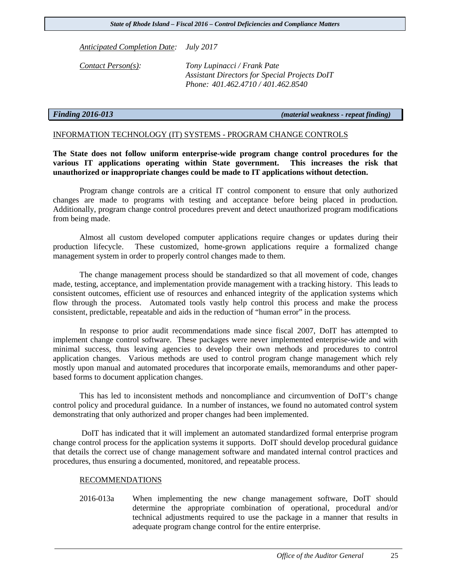*Anticipated Completion Date: July 2017*

*Contact Person(s): Tony Lupinacci / Frank Pate Assistant Directors for Special Projects DoIT Phone: 401.462.4710 / 401.462.8540*

*Finding 2016-013 (material weakness - repeat finding)*

#### INFORMATION TECHNOLOGY (IT) SYSTEMS - PROGRAM CHANGE CONTROLS

**The State does not follow uniform enterprise-wide program change control procedures for the various IT applications operating within State government. This increases the risk that unauthorized or inappropriate changes could be made to IT applications without detection.**

Program change controls are a critical IT control component to ensure that only authorized changes are made to programs with testing and acceptance before being placed in production. Additionally, program change control procedures prevent and detect unauthorized program modifications from being made.

Almost all custom developed computer applications require changes or updates during their production lifecycle. These customized, home-grown applications require a formalized change management system in order to properly control changes made to them.

The change management process should be standardized so that all movement of code, changes made, testing, acceptance, and implementation provide management with a tracking history. This leads to consistent outcomes, efficient use of resources and enhanced integrity of the application systems which flow through the process. Automated tools vastly help control this process and make the process consistent, predictable, repeatable and aids in the reduction of "human error" in the process.

In response to prior audit recommendations made since fiscal 2007, DoIT has attempted to implement change control software. These packages were never implemented enterprise-wide and with minimal success, thus leaving agencies to develop their own methods and procedures to control application changes. Various methods are used to control program change management which rely mostly upon manual and automated procedures that incorporate emails, memorandums and other paperbased forms to document application changes.

This has led to inconsistent methods and noncompliance and circumvention of DoIT's change control policy and procedural guidance. In a number of instances, we found no automated control system demonstrating that only authorized and proper changes had been implemented.

DoIT has indicated that it will implement an automated standardized formal enterprise program change control process for the application systems it supports. DoIT should develop procedural guidance that details the correct use of change management software and mandated internal control practices and procedures, thus ensuring a documented, monitored, and repeatable process.

#### RECOMMENDATIONS

2016-013a When implementing the new change management software, DoIT should determine the appropriate combination of operational, procedural and/or technical adjustments required to use the package in a manner that results in adequate program change control for the entire enterprise.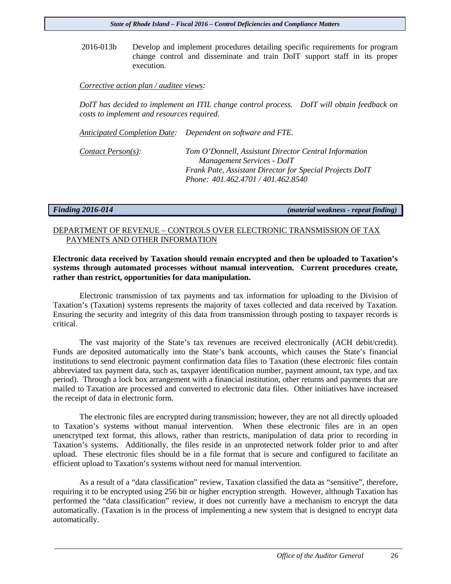2016-013b Develop and implement procedures detailing specific requirements for program change control and disseminate and train DoIT support staff in its proper execution.

#### *Corrective action plan / auditee views:*

*DoIT has decided to implement an ITIL change control process. DoIT will obtain feedback on costs to implement and resources required.* 

*Anticipated Completion Date: Dependent on software and FTE.*

*Contact Person(s): Tom O'Donnell, Assistant Director Central Information Management Services - DoIT Frank Pate, Assistant Director for Special Projects DoIT Phone: 401.462.4701 / 401.462.8540*

*Finding 2016-014 (material weakness - repeat finding)*

#### DEPARTMENT OF REVENUE – CONTROLS OVER ELECTRONIC TRANSMISSION OF TAX PAYMENTS AND OTHER INFORMATION

### **Electronic data received by Taxation should remain encrypted and then be uploaded to Taxation's systems through automated processes without manual intervention. Current procedures create, rather than restrict, opportunities for data manipulation.**

Electronic transmission of tax payments and tax information for uploading to the Division of Taxation's (Taxation) systems represents the majority of taxes collected and data received by Taxation. Ensuring the security and integrity of this data from transmission through posting to taxpayer records is critical.

The vast majority of the State's tax revenues are received electronically (ACH debit/credit). Funds are deposited automatically into the State's bank accounts, which causes the State's financial institutions to send electronic payment confirmation data files to Taxation (these electronic files contain abbreviated tax payment data, such as, taxpayer identification number, payment amount, tax type, and tax period). Through a lock box arrangement with a financial institution, other returns and payments that are mailed to Taxation are processed and converted to electronic data files. Other initiatives have increased the receipt of data in electronic form.

The electronic files are encrypted during transmission; however, they are not all directly uploaded to Taxation's systems without manual intervention. When these electronic files are in an open unencrytped text format, this allows, rather than restricts, manipulation of data prior to recording in Taxation's systems. Additionally, the files reside in an unprotected network folder prior to and after upload. These electronic files should be in a file format that is secure and configured to facilitate an efficient upload to Taxation's systems without need for manual intervention.

As a result of a "data classification" review, Taxation classified the data as "sensitive", therefore, requiring it to be encrypted using 256 bit or higher encryption strength. However, although Taxation has performed the "data classification" review, it does not currently have a mechanism to encrypt the data automatically. (Taxation is in the process of implementing a new system that is designed to encrypt data automatically.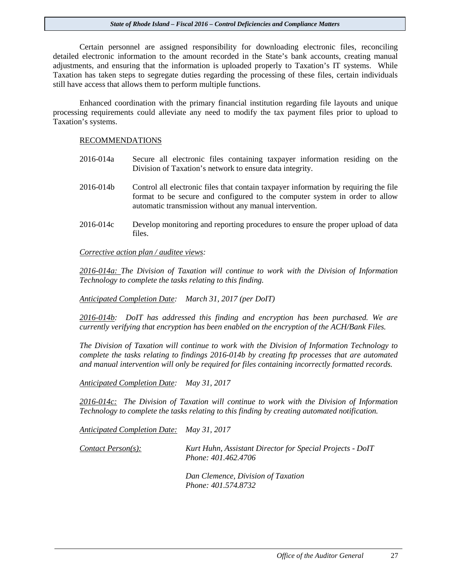Certain personnel are assigned responsibility for downloading electronic files, reconciling detailed electronic information to the amount recorded in the State's bank accounts, creating manual adjustments, and ensuring that the information is uploaded properly to Taxation's IT systems. While Taxation has taken steps to segregate duties regarding the processing of these files, certain individuals still have access that allows them to perform multiple functions.

Enhanced coordination with the primary financial institution regarding file layouts and unique processing requirements could alleviate any need to modify the tax payment files prior to upload to Taxation's systems.

#### RECOMMENDATIONS

- 2016-014a Secure all electronic files containing taxpayer information residing on the Division of Taxation's network to ensure data integrity.
- 2016-014b Control all electronic files that contain taxpayer information by requiring the file format to be secure and configured to the computer system in order to allow automatic transmission without any manual intervention.
- 2016-014c Develop monitoring and reporting procedures to ensure the proper upload of data files.

*Corrective action plan / auditee views:* 

*2016-014a: The Division of Taxation will continue to work with the Division of Information Technology to complete the tasks relating to this finding.* 

*Anticipated Completion Date: March 31, 2017 (per DoIT)*

*2016-014b: DoIT has addressed this finding and encryption has been purchased. We are currently verifying that encryption has been enabled on the encryption of the ACH/Bank Files.* 

*The Division of Taxation will continue to work with the Division of Information Technology to complete the tasks relating to findings 2016-014b by creating ftp processes that are automated and manual intervention will only be required for files containing incorrectly formatted records.* 

*Anticipated Completion Date: May 31, 2017*

*2016-014c: The Division of Taxation will continue to work with the Division of Information Technology to complete the tasks relating to this finding by creating automated notification.*

*Anticipated Completion Date: May 31, 2017*

*Contact Person(s): Kurt Huhn, Assistant Director for Special Projects - DoIT Phone: 401.462.4706*

> *Dan Clemence, Division of Taxation Phone: 401.574.8732*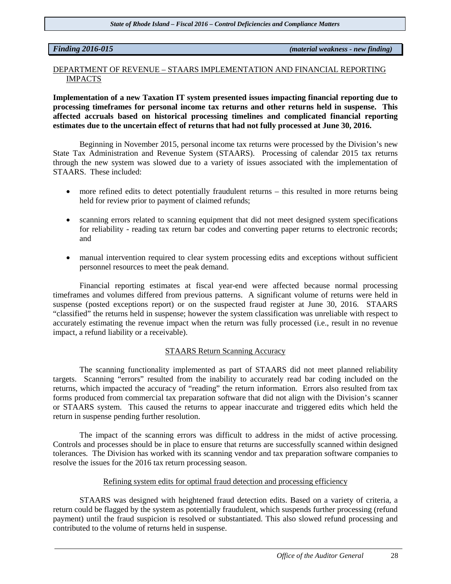#### *Finding 2016-015 (material weakness - new finding)*

#### DEPARTMENT OF REVENUE – STAARS IMPLEMENTATION AND FINANCIAL REPORTING IMPACTS

**Implementation of a new Taxation IT system presented issues impacting financial reporting due to processing timeframes for personal income tax returns and other returns held in suspense. This affected accruals based on historical processing timelines and complicated financial reporting estimates due to the uncertain effect of returns that had not fully processed at June 30, 2016.** 

Beginning in November 2015, personal income tax returns were processed by the Division's new State Tax Administration and Revenue System (STAARS). Processing of calendar 2015 tax returns through the new system was slowed due to a variety of issues associated with the implementation of STAARS. These included:

- more refined edits to detect potentially fraudulent returns this resulted in more returns being held for review prior to payment of claimed refunds;
- scanning errors related to scanning equipment that did not meet designed system specifications for reliability - reading tax return bar codes and converting paper returns to electronic records; and
- manual intervention required to clear system processing edits and exceptions without sufficient personnel resources to meet the peak demand.

Financial reporting estimates at fiscal year-end were affected because normal processing timeframes and volumes differed from previous patterns. A significant volume of returns were held in suspense (posted exceptions report) or on the suspected fraud register at June 30, 2016. STAARS "classified" the returns held in suspense; however the system classification was unreliable with respect to accurately estimating the revenue impact when the return was fully processed (i.e., result in no revenue impact, a refund liability or a receivable).

#### STAARS Return Scanning Accuracy

The scanning functionality implemented as part of STAARS did not meet planned reliability targets. Scanning "errors" resulted from the inability to accurately read bar coding included on the returns, which impacted the accuracy of "reading" the return information. Errors also resulted from tax forms produced from commercial tax preparation software that did not align with the Division's scanner or STAARS system. This caused the returns to appear inaccurate and triggered edits which held the return in suspense pending further resolution.

The impact of the scanning errors was difficult to address in the midst of active processing. Controls and processes should be in place to ensure that returns are successfully scanned within designed tolerances. The Division has worked with its scanning vendor and tax preparation software companies to resolve the issues for the 2016 tax return processing season.

#### Refining system edits for optimal fraud detection and processing efficiency

STAARS was designed with heightened fraud detection edits. Based on a variety of criteria, a return could be flagged by the system as potentially fraudulent, which suspends further processing (refund payment) until the fraud suspicion is resolved or substantiated. This also slowed refund processing and contributed to the volume of returns held in suspense.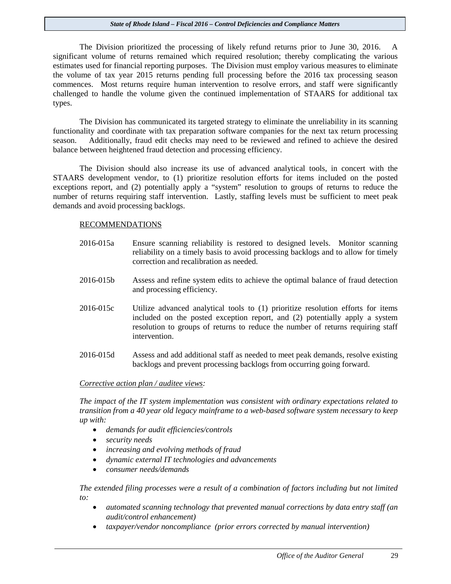The Division prioritized the processing of likely refund returns prior to June 30, 2016. A significant volume of returns remained which required resolution; thereby complicating the various estimates used for financial reporting purposes. The Division must employ various measures to eliminate the volume of tax year 2015 returns pending full processing before the 2016 tax processing season commences. Most returns require human intervention to resolve errors, and staff were significantly challenged to handle the volume given the continued implementation of STAARS for additional tax types.

The Division has communicated its targeted strategy to eliminate the unreliability in its scanning functionality and coordinate with tax preparation software companies for the next tax return processing season. Additionally, fraud edit checks may need to be reviewed and refined to achieve the desired balance between heightened fraud detection and processing efficiency.

The Division should also increase its use of advanced analytical tools, in concert with the STAARS development vendor, to (1) prioritize resolution efforts for items included on the posted exceptions report, and (2) potentially apply a "system" resolution to groups of returns to reduce the number of returns requiring staff intervention. Lastly, staffing levels must be sufficient to meet peak demands and avoid processing backlogs.

#### RECOMMENDATIONS

- 2016-015a Ensure scanning reliability is restored to designed levels. Monitor scanning reliability on a timely basis to avoid processing backlogs and to allow for timely correction and recalibration as needed.
- 2016-015b Assess and refine system edits to achieve the optimal balance of fraud detection and processing efficiency.
- 2016-015c Utilize advanced analytical tools to (1) prioritize resolution efforts for items included on the posted exception report, and (2) potentially apply a system resolution to groups of returns to reduce the number of returns requiring staff intervention.
- 2016-015d Assess and add additional staff as needed to meet peak demands, resolve existing backlogs and prevent processing backlogs from occurring going forward.

#### *Corrective action plan / auditee views:*

*The impact of the IT system implementation was consistent with ordinary expectations related to transition from a 40 year old legacy mainframe to a web-based software system necessary to keep up with:*

- *demands for audit efficiencies/controls*
- *security needs*
- *increasing and evolving methods of fraud*
- *dynamic external IT technologies and advancements*
- *consumer needs/demands*

*The extended filing processes were a result of a combination of factors including but not limited to:* 

- *automated scanning technology that prevented manual corrections by data entry staff (an audit/control enhancement)*
- *taxpayer/vendor noncompliance (prior errors corrected by manual intervention)*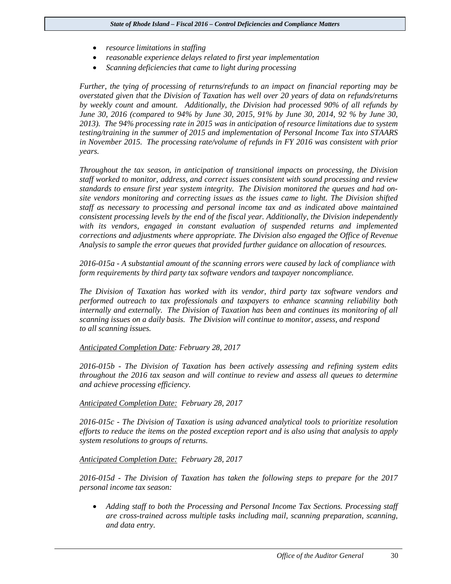- *resource limitations in staffing*
- *reasonable experience delays related to first year implementation*
- *Scanning deficiencies that came to light during processing*

*Further, the tying of processing of returns/refunds to an impact on financial reporting may be overstated given that the Division of Taxation has well over 20 years of data on refunds/returns by weekly count and amount. Additionally, the Division had processed 90% of all refunds by June 30, 2016 (compared to 94% by June 30, 2015, 91% by June 30, 2014, 92 % by June 30, 2013). The 94% processing rate in 2015 was in anticipation of resource limitations due to system testing/training in the summer of 2015 and implementation of Personal Income Tax into STAARS in November 2015. The processing rate/volume of refunds in FY 2016 was consistent with prior years.* 

*Throughout the tax season, in anticipation of transitional impacts on processing, the Division staff worked to monitor, address, and correct issues consistent with sound processing and review standards to ensure first year system integrity. The Division monitored the queues and had onsite vendors monitoring and correcting issues as the issues came to light. The Division shifted staff as necessary to processing and personal income tax and as indicated above maintained consistent processing levels by the end of the fiscal year. Additionally, the Division independently with its vendors, engaged in constant evaluation of suspended returns and implemented corrections and adjustments where appropriate. The Division also engaged the Office of Revenue Analysis to sample the error queues that provided further guidance on allocation of resources.* 

*2016-015a - A substantial amount of the scanning errors were caused by lack of compliance with form requirements by third party tax software vendors and taxpayer noncompliance.* 

*The Division of Taxation has worked with its vendor, third party tax software vendors and performed outreach to tax professionals and taxpayers to enhance scanning reliability both internally and externally. The Division of Taxation has been and continues its monitoring of all scanning issues on a daily basis. The Division will continue to monitor, assess, and respond to all scanning issues.*

#### *Anticipated Completion Date: February 28, 2017*

*2016-015b - The Division of Taxation has been actively assessing and refining system edits throughout the 2016 tax season and will continue to review and assess all queues to determine and achieve processing efficiency.* 

#### *Anticipated Completion Date: February 28, 2017*

*2016-015c - The Division of Taxation is using advanced analytical tools to prioritize resolution efforts to reduce the items on the posted exception report and is also using that analysis to apply system resolutions to groups of returns.* 

#### *Anticipated Completion Date: February 28, 2017*

*2016-015d - The Division of Taxation has taken the following steps to prepare for the 2017 personal income tax season:*

• *Adding staff to both the Processing and Personal Income Tax Sections. Processing staff are cross-trained across multiple tasks including mail, scanning preparation, scanning, and data entry.*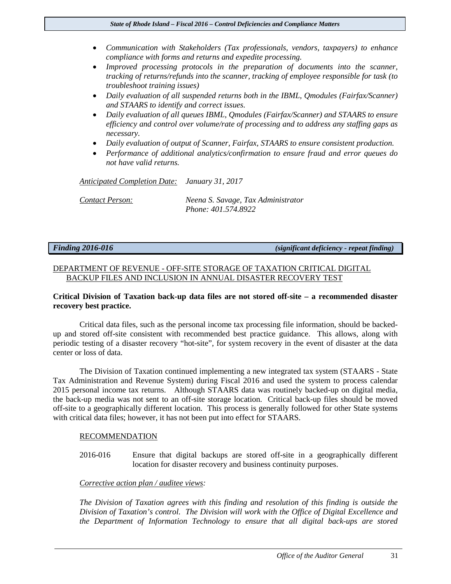- *Communication with Stakeholders (Tax professionals, vendors, taxpayers) to enhance compliance with forms and returns and expedite processing.*
- *Improved processing protocols in the preparation of documents into the scanner, tracking of returns/refunds into the scanner, tracking of employee responsible for task (to troubleshoot training issues)*
- *Daily evaluation of all suspended returns both in the IBML, Omodules (Fairfax/Scanner) and STAARS to identify and correct issues.*
- *Daily evaluation of all queues IBML, Qmodules (Fairfax/Scanner) and STAARS to ensure efficiency and control over volume/rate of processing and to address any staffing gaps as necessary.*
- *Daily evaluation of output of Scanner, Fairfax, STAARS to ensure consistent production.*
- *Performance of additional analytics/confirmation to ensure fraud and error queues do not have valid returns.*

*Anticipated Completion Date: January 31, 2017*

*Contact Person: Neena S. Savage, Tax Administrator Phone: 401.574.8922*

*Finding 2016-016 (significant deficiency - repeat finding)*

### DEPARTMENT OF REVENUE - OFF-SITE STORAGE OF TAXATION CRITICAL DIGITAL BACKUP FILES AND INCLUSION IN ANNUAL DISASTER RECOVERY TEST

### **Critical Division of Taxation back-up data files are not stored off-site – a recommended disaster recovery best practice.**

Critical data files, such as the personal income tax processing file information, should be backedup and stored off-site consistent with recommended best practice guidance. This allows, along with periodic testing of a disaster recovery "hot-site", for system recovery in the event of disaster at the data center or loss of data.

The Division of Taxation continued implementing a new integrated tax system (STAARS - State Tax Administration and Revenue System) during Fiscal 2016 and used the system to process calendar 2015 personal income tax returns. Although STAARS data was routinely backed-up on digital media, the back-up media was not sent to an off-site storage location. Critical back-up files should be moved off-site to a geographically different location. This process is generally followed for other State systems with critical data files; however, it has not been put into effect for STAARS.

#### RECOMMENDATION

2016-016 Ensure that digital backups are stored off-site in a geographically different location for disaster recovery and business continuity purposes.

#### *Corrective action plan / auditee views:*

*The Division of Taxation agrees with this finding and resolution of this finding is outside the Division of Taxation's control. The Division will work with the Office of Digital Excellence and the Department of Information Technology to ensure that all digital back-ups are stored*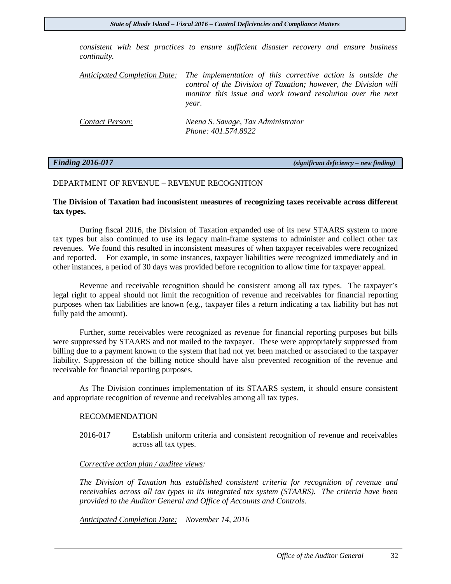*consistent with best practices to ensure sufficient disaster recovery and ensure business continuity.*

*Anticipated Completion Date: The implementation of this corrective action is outside the control of the Division of Taxation; however, the Division will monitor this issue and work toward resolution over the next year.* 

| Contact Person: | Neena S. Savage, Tax Administrator |
|-----------------|------------------------------------|
|                 | Phone: 401.574.8922                |

*Finding 2016-017 (significant deficiency – new finding)* 

#### DEPARTMENT OF REVENUE – REVENUE RECOGNITION

#### **The Division of Taxation had inconsistent measures of recognizing taxes receivable across different tax types.**

During fiscal 2016, the Division of Taxation expanded use of its new STAARS system to more tax types but also continued to use its legacy main-frame systems to administer and collect other tax revenues. We found this resulted in inconsistent measures of when taxpayer receivables were recognized and reported. For example, in some instances, taxpayer liabilities were recognized immediately and in other instances, a period of 30 days was provided before recognition to allow time for taxpayer appeal.

Revenue and receivable recognition should be consistent among all tax types. The taxpayer's legal right to appeal should not limit the recognition of revenue and receivables for financial reporting purposes when tax liabilities are known (e.g., taxpayer files a return indicating a tax liability but has not fully paid the amount).

Further, some receivables were recognized as revenue for financial reporting purposes but bills were suppressed by STAARS and not mailed to the taxpayer. These were appropriately suppressed from billing due to a payment known to the system that had not yet been matched or associated to the taxpayer liability. Suppression of the billing notice should have also prevented recognition of the revenue and receivable for financial reporting purposes.

As The Division continues implementation of its STAARS system, it should ensure consistent and appropriate recognition of revenue and receivables among all tax types.

#### RECOMMENDATION

2016-017 Establish uniform criteria and consistent recognition of revenue and receivables across all tax types.

#### *Corrective action plan / auditee views:*

*The Division of Taxation has established consistent criteria for recognition of revenue and receivables across all tax types in its integrated tax system (STAARS). The criteria have been provided to the Auditor General and Office of Accounts and Controls.* 

*Anticipated Completion Date: November 14, 2016*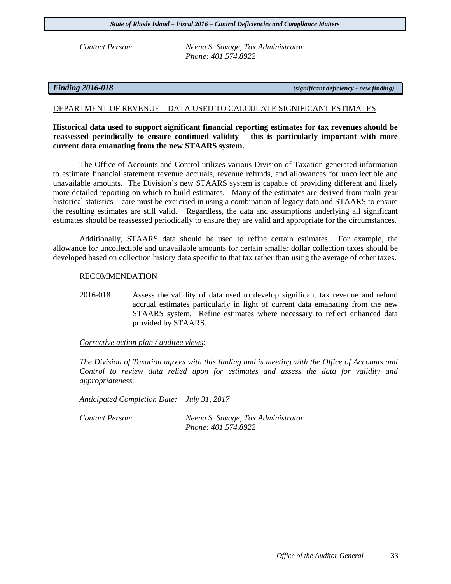*Contact Person: Neena S. Savage, Tax Administrator Phone: 401.574.8922*

*Finding 2016-018 (significant deficiency - new finding)*

### DEPARTMENT OF REVENUE – DATA USED TO CALCULATE SIGNIFICANT ESTIMATES

### **Historical data used to support significant financial reporting estimates for tax revenues should be reassessed periodically to ensure continued validity – this is particularly important with more current data emanating from the new STAARS system.**

The Office of Accounts and Control utilizes various Division of Taxation generated information to estimate financial statement revenue accruals, revenue refunds, and allowances for uncollectible and unavailable amounts. The Division's new STAARS system is capable of providing different and likely more detailed reporting on which to build estimates. Many of the estimates are derived from multi-year historical statistics – care must be exercised in using a combination of legacy data and STAARS to ensure the resulting estimates are still valid. Regardless, the data and assumptions underlying all significant estimates should be reassessed periodically to ensure they are valid and appropriate for the circumstances.

Additionally, STAARS data should be used to refine certain estimates. For example, the allowance for uncollectible and unavailable amounts for certain smaller dollar collection taxes should be developed based on collection history data specific to that tax rather than using the average of other taxes.

#### RECOMMENDATION

2016-018 Assess the validity of data used to develop significant tax revenue and refund accrual estimates particularly in light of current data emanating from the new STAARS system. Refine estimates where necessary to reflect enhanced data provided by STAARS.

#### *Corrective action plan / auditee views:*

*The Division of Taxation agrees with this finding and is meeting with the Office of Accounts and Control to review data relied upon for estimates and assess the data for validity and appropriateness.* 

*Anticipated Completion Date: July 31, 2017*

*Contact Person: Neena S. Savage, Tax Administrator Phone: 401.574.8922*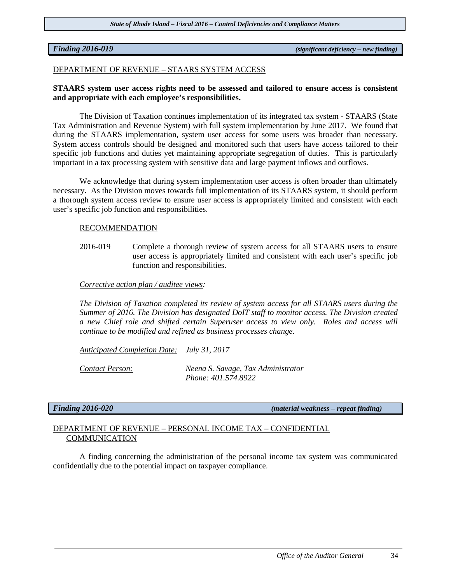*Finding 2016-019 (significant deficiency – new finding)*

#### DEPARTMENT OF REVENUE – STAARS SYSTEM ACCESS

#### **STAARS system user access rights need to be assessed and tailored to ensure access is consistent and appropriate with each employee's responsibilities.**

The Division of Taxation continues implementation of its integrated tax system - STAARS (State Tax Administration and Revenue System) with full system implementation by June 2017. We found that during the STAARS implementation, system user access for some users was broader than necessary. System access controls should be designed and monitored such that users have access tailored to their specific job functions and duties yet maintaining appropriate segregation of duties. This is particularly important in a tax processing system with sensitive data and large payment inflows and outflows.

We acknowledge that during system implementation user access is often broader than ultimately necessary. As the Division moves towards full implementation of its STAARS system, it should perform a thorough system access review to ensure user access is appropriately limited and consistent with each user's specific job function and responsibilities.

#### RECOMMENDATION

2016-019 Complete a thorough review of system access for all STAARS users to ensure user access is appropriately limited and consistent with each user's specific job function and responsibilities.

#### *Corrective action plan / auditee views:*

*The Division of Taxation completed its review of system access for all STAARS users during the Summer of 2016. The Division has designated DoIT staff to monitor access. The Division created a new Chief role and shifted certain Superuser access to view only. Roles and access will continue to be modified and refined as business processes change.* 

*Anticipated Completion Date: July 31, 2017*

*Contact Person: Neena S. Savage, Tax Administrator Phone: 401.574.8922*

*Finding 2016-020 (material weakness – repeat finding)* 

### DEPARTMENT OF REVENUE – PERSONAL INCOME TAX – CONFIDENTIAL **COMMUNICATION**

A finding concerning the administration of the personal income tax system was communicated confidentially due to the potential impact on taxpayer compliance.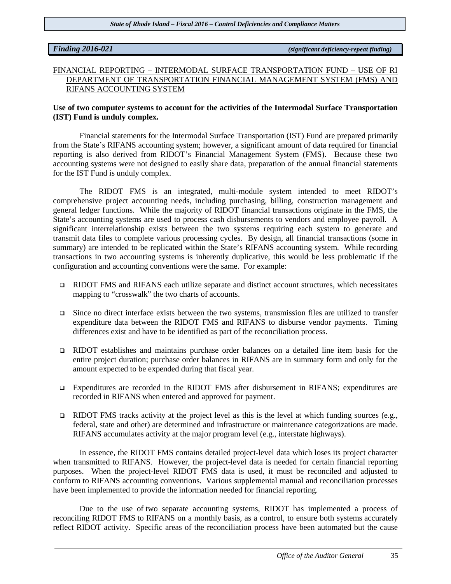*Finding 2016-021 (significant deficiency-repeat finding)*

### FINANCIAL REPORTING – INTERMODAL SURFACE TRANSPORTATION FUND – USE OF RI DEPARTMENT OF TRANSPORTATION FINANCIAL MANAGEMENT SYSTEM (FMS) AND RIFANS ACCOUNTING SYSTEM

#### **Use of two computer systems to account for the activities of the Intermodal Surface Transportation (IST) Fund is unduly complex.**

Financial statements for the Intermodal Surface Transportation (IST) Fund are prepared primarily from the State's RIFANS accounting system; however, a significant amount of data required for financial reporting is also derived from RIDOT's Financial Management System (FMS). Because these two accounting systems were not designed to easily share data, preparation of the annual financial statements for the IST Fund is unduly complex.

The RIDOT FMS is an integrated, multi-module system intended to meet RIDOT's comprehensive project accounting needs, including purchasing, billing, construction management and general ledger functions. While the majority of RIDOT financial transactions originate in the FMS, the State's accounting systems are used to process cash disbursements to vendors and employee payroll. A significant interrelationship exists between the two systems requiring each system to generate and transmit data files to complete various processing cycles. By design, all financial transactions (some in summary) are intended to be replicated within the State's RIFANS accounting system. While recording transactions in two accounting systems is inherently duplicative, this would be less problematic if the configuration and accounting conventions were the same. For example:

- RIDOT FMS and RIFANS each utilize separate and distinct account structures, which necessitates mapping to "crosswalk" the two charts of accounts.
- $\Box$  Since no direct interface exists between the two systems, transmission files are utilized to transfer expenditure data between the RIDOT FMS and RIFANS to disburse vendor payments. Timing differences exist and have to be identified as part of the reconciliation process.
- RIDOT establishes and maintains purchase order balances on a detailed line item basis for the entire project duration; purchase order balances in RIFANS are in summary form and only for the amount expected to be expended during that fiscal year.
- Expenditures are recorded in the RIDOT FMS after disbursement in RIFANS; expenditures are recorded in RIFANS when entered and approved for payment.
- **EXIDOT FMS** tracks activity at the project level as this is the level at which funding sources (e.g., federal, state and other) are determined and infrastructure or maintenance categorizations are made. RIFANS accumulates activity at the major program level (e.g., interstate highways).

In essence, the RIDOT FMS contains detailed project-level data which loses its project character when transmitted to RIFANS. However, the project-level data is needed for certain financial reporting purposes. When the project-level RIDOT FMS data is used, it must be reconciled and adjusted to conform to RIFANS accounting conventions. Various supplemental manual and reconciliation processes have been implemented to provide the information needed for financial reporting.

Due to the use of two separate accounting systems, RIDOT has implemented a process of reconciling RIDOT FMS to RIFANS on a monthly basis, as a control, to ensure both systems accurately reflect RIDOT activity. Specific areas of the reconciliation process have been automated but the cause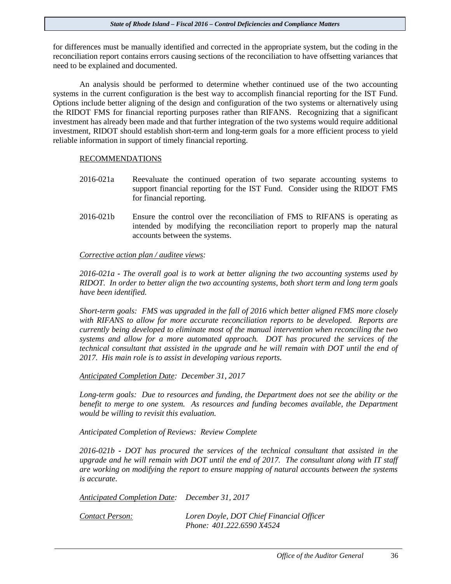for differences must be manually identified and corrected in the appropriate system, but the coding in the reconciliation report contains errors causing sections of the reconciliation to have offsetting variances that need to be explained and documented.

An analysis should be performed to determine whether continued use of the two accounting systems in the current configuration is the best way to accomplish financial reporting for the IST Fund. Options include better aligning of the design and configuration of the two systems or alternatively using the RIDOT FMS for financial reporting purposes rather than RIFANS. Recognizing that a significant investment has already been made and that further integration of the two systems would require additional investment, RIDOT should establish short-term and long-term goals for a more efficient process to yield reliable information in support of timely financial reporting.

#### RECOMMENDATIONS

- 2016-021a Reevaluate the continued operation of two separate accounting systems to support financial reporting for the IST Fund. Consider using the RIDOT FMS for financial reporting.
- 2016-021b Ensure the control over the reconciliation of FMS to RIFANS is operating as intended by modifying the reconciliation report to properly map the natural accounts between the systems.

#### *Corrective action plan / auditee views:*

*2016-021a - The overall goal is to work at better aligning the two accounting systems used by RIDOT. In order to better align the two accounting systems, both short term and long term goals have been identified.*

*Short-term goals: FMS was upgraded in the fall of 2016 which better aligned FMS more closely with RIFANS to allow for more accurate reconciliation reports to be developed. Reports are currently being developed to eliminate most of the manual intervention when reconciling the two systems and allow for a more automated approach. DOT has procured the services of the technical consultant that assisted in the upgrade and he will remain with DOT until the end of 2017. His main role is to assist in developing various reports.*

*Anticipated Completion Date: December 31, 2017*

Long-term goals: Due to resources and funding, the Department does not see the ability or the *benefit to merge to one system. As resources and funding becomes available, the Department would be willing to revisit this evaluation.* 

*Anticipated Completion of Reviews: Review Complete*

*2016-021b - DOT has procured the services of the technical consultant that assisted in the upgrade and he will remain with DOT until the end of 2017. The consultant along with IT staff are working on modifying the report to ensure mapping of natural accounts between the systems is accurate.*

*Anticipated Completion Date: December 31, 2017*

| Contact Person: | Loren Doyle, DOT Chief Financial Officer |
|-----------------|------------------------------------------|
|                 | Phone: 401.222.6590 X4524                |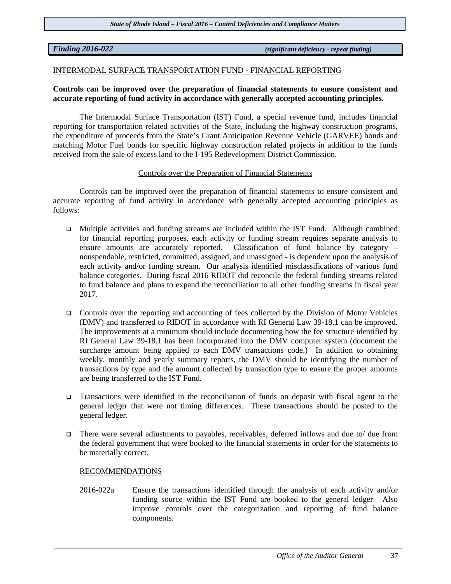*Finding 2016-022 (significant deficiency - repeat finding)*

#### INTERMODAL SURFACE TRANSPORTATION FUND - FINANCIAL REPORTING

#### **Controls can be improved over the preparation of financial statements to ensure consistent and accurate reporting of fund activity in accordance with generally accepted accounting principles.**

The Intermodal Surface Transportation (IST) Fund, a special revenue fund, includes financial reporting for transportation related activities of the State, including the highway construction programs, the expenditure of proceeds from the State's Grant Anticipation Revenue Vehicle (GARVEE) bonds and matching Motor Fuel bonds for specific highway construction related projects in addition to the funds received from the sale of excess land to the I-195 Redevelopment District Commission.

#### Controls over the Preparation of Financial Statements

Controls can be improved over the preparation of financial statements to ensure consistent and accurate reporting of fund activity in accordance with generally accepted accounting principles as follows:

- Multiple activities and funding streams are included within the IST Fund. Although combined for financial reporting purposes, each activity or funding stream requires separate analysis to ensure amounts are accurately reported. Classification of fund balance by category – nonspendable, restricted, committed, assigned, and unassigned - is dependent upon the analysis of each activity and/or funding stream. Our analysis identified misclassifications of various fund balance categories. During fiscal 2016 RIDOT did reconcile the federal funding streams related to fund balance and plans to expand the reconciliation to all other funding streams in fiscal year 2017.
- $\Box$  Controls over the reporting and accounting of fees collected by the Division of Motor Vehicles (DMV) and transferred to RIDOT in accordance with RI General Law 39-18.1 can be improved. The improvements at a minimum should include documenting how the fee structure identified by RI General Law 39-18.1 has been incorporated into the DMV computer system (document the surcharge amount being applied to each DMV transactions code.) In addition to obtaining weekly, monthly and yearly summary reports, the DMV should be identifying the number of transactions by type and the amount collected by transaction type to ensure the proper amounts are being transferred to the IST Fund.
- Transactions were identified in the reconciliation of funds on deposit with fiscal agent to the general ledger that were not timing differences. These transactions should be posted to the general ledger.
- There were several adjustments to payables, receivables, deferred inflows and due to/ due from the federal government that were booked to the financial statements in order for the statements to be materially correct.

#### RECOMMENDATIONS

2016-022a Ensure the transactions identified through the analysis of each activity and/or funding source within the IST Fund are booked to the general ledger. Also improve controls over the categorization and reporting of fund balance components.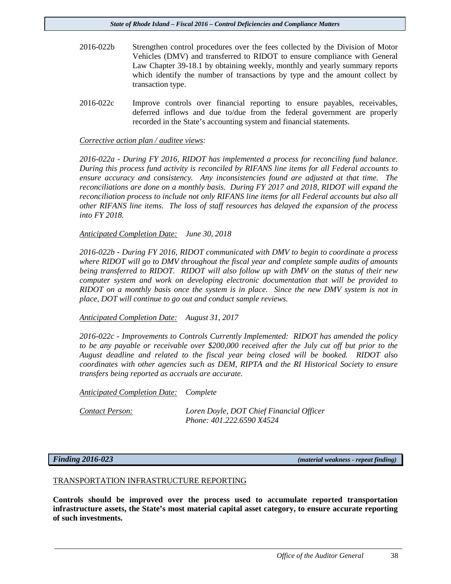- 2016-022b Strengthen control procedures over the fees collected by the Division of Motor Vehicles (DMV) and transferred to RIDOT to ensure compliance with General Law Chapter 39-18.1 by obtaining weekly, monthly and yearly summary reports which identify the number of transactions by type and the amount collect by transaction type.
- 2016-022c Improve controls over financial reporting to ensure payables, receivables, deferred inflows and due to/due from the federal government are properly recorded in the State's accounting system and financial statements.

#### *Corrective action plan / auditee views:*

*2016-022a - During FY 2016, RIDOT has implemented a process for reconciling fund balance. During this process fund activity is reconciled by RIFANS line items for all Federal accounts to ensure accuracy and consistency. Any inconsistencies found are adjusted at that time. The reconciliations are done on a monthly basis. During FY 2017 and 2018, RIDOT will expand the reconciliation process to include not only RIFANS line items for all Federal accounts but also all other RIFANS line items. The loss of staff resources has delayed the expansion of the process into FY 2018.*

*Anticipated Completion Date: June 30, 2018*

*2016-022b - During FY 2016, RIDOT communicated with DMV to begin to coordinate a process where RIDOT will go to DMV throughout the fiscal year and complete sample audits of amounts being transferred to RIDOT. RIDOT will also follow up with DMV on the status of their new computer system and work on developing electronic documentation that will be provided to RIDOT on a monthly basis once the system is in place. Since the new DMV system is not in place, DOT will continue to go out and conduct sample reviews.*

*Anticipated Completion Date: August 31, 2017*

*2016-022c - Improvements to Controls Currently Implemented: RIDOT has amended the policy to be any payable or receivable over \$200,000 received after the July cut off but prior to the August deadline and related to the fiscal year being closed will be booked. RIDOT also coordinates with other agencies such as DEM, RIPTA and the RI Historical Society to ensure transfers being reported as accruals are accurate.*

*Anticipated Completion Date: Complete*

*Contact Person: Loren Doyle, DOT Chief Financial Officer Phone: 401.222.6590 X4524*

*Finding 2016-023 (material weakness - repeat finding)*

#### TRANSPORTATION INFRASTRUCTURE REPORTING

**Controls should be improved over the process used to accumulate reported transportation infrastructure assets, the State's most material capital asset category, to ensure accurate reporting of such investments.**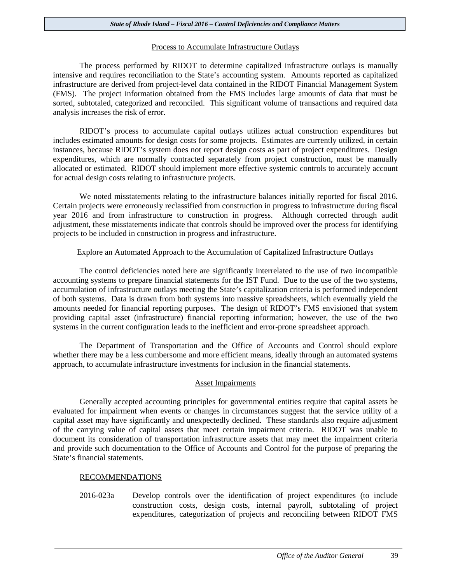#### Process to Accumulate Infrastructure Outlays

The process performed by RIDOT to determine capitalized infrastructure outlays is manually intensive and requires reconciliation to the State's accounting system. Amounts reported as capitalized infrastructure are derived from project-level data contained in the RIDOT Financial Management System (FMS). The project information obtained from the FMS includes large amounts of data that must be sorted, subtotaled, categorized and reconciled. This significant volume of transactions and required data analysis increases the risk of error.

RIDOT's process to accumulate capital outlays utilizes actual construction expenditures but includes estimated amounts for design costs for some projects. Estimates are currently utilized, in certain instances, because RIDOT's system does not report design costs as part of project expenditures. Design expenditures, which are normally contracted separately from project construction, must be manually allocated or estimated. RIDOT should implement more effective systemic controls to accurately account for actual design costs relating to infrastructure projects.

We noted misstatements relating to the infrastructure balances initially reported for fiscal 2016. Certain projects were erroneously reclassified from construction in progress to infrastructure during fiscal year 2016 and from infrastructure to construction in progress. Although corrected through audit adjustment, these misstatements indicate that controls should be improved over the process for identifying projects to be included in construction in progress and infrastructure.

#### Explore an Automated Approach to the Accumulation of Capitalized Infrastructure Outlays

The control deficiencies noted here are significantly interrelated to the use of two incompatible accounting systems to prepare financial statements for the IST Fund. Due to the use of the two systems, accumulation of infrastructure outlays meeting the State's capitalization criteria is performed independent of both systems. Data is drawn from both systems into massive spreadsheets, which eventually yield the amounts needed for financial reporting purposes. The design of RIDOT's FMS envisioned that system providing capital asset (infrastructure) financial reporting information; however, the use of the two systems in the current configuration leads to the inefficient and error-prone spreadsheet approach.

The Department of Transportation and the Office of Accounts and Control should explore whether there may be a less cumbersome and more efficient means, ideally through an automated systems approach, to accumulate infrastructure investments for inclusion in the financial statements.

#### Asset Impairments

Generally accepted accounting principles for governmental entities require that capital assets be evaluated for impairment when events or changes in circumstances suggest that the service utility of a capital asset may have significantly and unexpectedly declined. These standards also require adjustment of the carrying value of capital assets that meet certain impairment criteria. RIDOT was unable to document its consideration of transportation infrastructure assets that may meet the impairment criteria and provide such documentation to the Office of Accounts and Control for the purpose of preparing the State's financial statements.

#### RECOMMENDATIONS

2016-023a Develop controls over the identification of project expenditures (to include construction costs, design costs, internal payroll, subtotaling of project expenditures, categorization of projects and reconciling between RIDOT FMS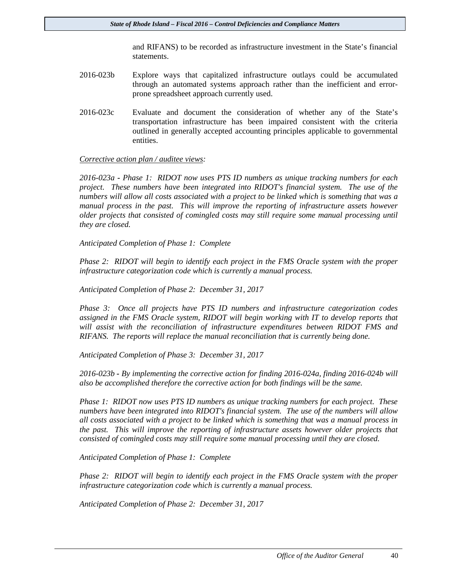and RIFANS) to be recorded as infrastructure investment in the State's financial statements.

- 2016-023b Explore ways that capitalized infrastructure outlays could be accumulated through an automated systems approach rather than the inefficient and errorprone spreadsheet approach currently used.
- 2016-023c Evaluate and document the consideration of whether any of the State's transportation infrastructure has been impaired consistent with the criteria outlined in generally accepted accounting principles applicable to governmental entities.

#### *Corrective action plan / auditee views:*

*2016-023a - Phase 1: RIDOT now uses PTS ID numbers as unique tracking numbers for each project. These numbers have been integrated into RIDOT's financial system. The use of the numbers will allow all costs associated with a project to be linked which is something that was a manual process in the past. This will improve the reporting of infrastructure assets however older projects that consisted of comingled costs may still require some manual processing until they are closed.*

*Anticipated Completion of Phase 1: Complete*

*Phase 2: RIDOT will begin to identify each project in the FMS Oracle system with the proper infrastructure categorization code which is currently a manual process.* 

*Anticipated Completion of Phase 2: December 31, 2017*

*Phase 3: Once all projects have PTS ID numbers and infrastructure categorization codes assigned in the FMS Oracle system, RIDOT will begin working with IT to develop reports that will assist with the reconciliation of infrastructure expenditures between RIDOT FMS and RIFANS. The reports will replace the manual reconciliation that is currently being done.*

*Anticipated Completion of Phase 3: December 31, 2017*

*2016-023b - By implementing the corrective action for finding 2016-024a, finding 2016-024b will also be accomplished therefore the corrective action for both findings will be the same.* 

*Phase 1: RIDOT now uses PTS ID numbers as unique tracking numbers for each project. These numbers have been integrated into RIDOT's financial system. The use of the numbers will allow all costs associated with a project to be linked which is something that was a manual process in the past. This will improve the reporting of infrastructure assets however older projects that consisted of comingled costs may still require some manual processing until they are closed.*

*Anticipated Completion of Phase 1: Complete*

*Phase 2: RIDOT will begin to identify each project in the FMS Oracle system with the proper infrastructure categorization code which is currently a manual process.* 

*Anticipated Completion of Phase 2: December 31, 2017*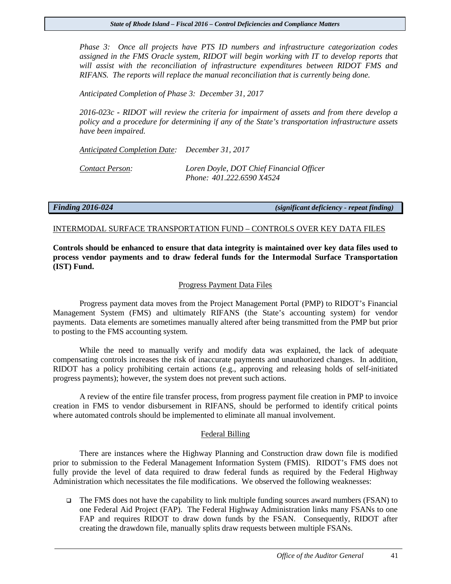*Phase 3: Once all projects have PTS ID numbers and infrastructure categorization codes assigned in the FMS Oracle system, RIDOT will begin working with IT to develop reports that will assist with the reconciliation of infrastructure expenditures between RIDOT FMS and RIFANS. The reports will replace the manual reconciliation that is currently being done.*

*Anticipated Completion of Phase 3: December 31, 2017*

*2016-023c - RIDOT will review the criteria for impairment of assets and from there develop a policy and a procedure for determining if any of the State's transportation infrastructure assets have been impaired.* 

*Anticipated Completion Date: December 31, 2017*

*Contact Person: Loren Doyle, DOT Chief Financial Officer Phone: 401.222.6590 X4524*

*Finding 2016-024 (significant deficiency - repeat finding)*

#### INTERMODAL SURFACE TRANSPORTATION FUND – CONTROLS OVER KEY DATA FILES

**Controls should be enhanced to ensure that data integrity is maintained over key data files used to process vendor payments and to draw federal funds for the Intermodal Surface Transportation (IST) Fund.** 

#### Progress Payment Data Files

Progress payment data moves from the Project Management Portal (PMP) to RIDOT's Financial Management System (FMS) and ultimately RIFANS (the State's accounting system) for vendor payments. Data elements are sometimes manually altered after being transmitted from the PMP but prior to posting to the FMS accounting system.

While the need to manually verify and modify data was explained, the lack of adequate compensating controls increases the risk of inaccurate payments and unauthorized changes. In addition, RIDOT has a policy prohibiting certain actions (e.g., approving and releasing holds of self-initiated progress payments); however, the system does not prevent such actions.

A review of the entire file transfer process, from progress payment file creation in PMP to invoice creation in FMS to vendor disbursement in RIFANS, should be performed to identify critical points where automated controls should be implemented to eliminate all manual involvement.

#### Federal Billing

There are instances where the Highway Planning and Construction draw down file is modified prior to submission to the Federal Management Information System (FMIS). RIDOT's FMS does not fully provide the level of data required to draw federal funds as required by the Federal Highway Administration which necessitates the file modifications. We observed the following weaknesses:

 $\Box$  The FMS does not have the capability to link multiple funding sources award numbers (FSAN) to one Federal Aid Project (FAP). The Federal Highway Administration links many FSANs to one FAP and requires RIDOT to draw down funds by the FSAN. Consequently, RIDOT after creating the drawdown file, manually splits draw requests between multiple FSANs.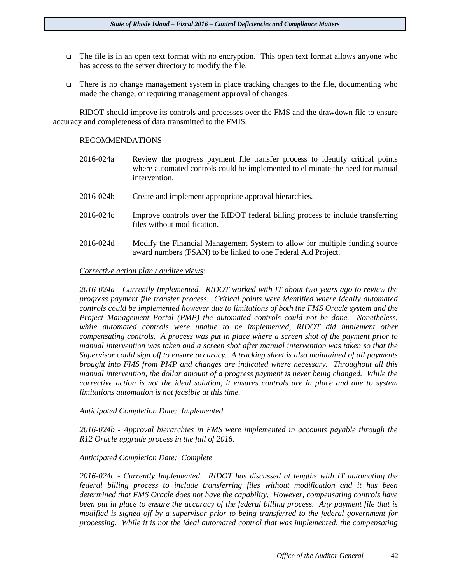- $\Box$  The file is in an open text format with no encryption. This open text format allows anyone who has access to the server directory to modify the file.
- There is no change management system in place tracking changes to the file, documenting who made the change, or requiring management approval of changes.

RIDOT should improve its controls and processes over the FMS and the drawdown file to ensure accuracy and completeness of data transmitted to the FMIS.

#### RECOMMENDATIONS

- 2016-024a Review the progress payment file transfer process to identify critical points where automated controls could be implemented to eliminate the need for manual intervention.
- 2016-024b Create and implement appropriate approval hierarchies.
- 2016-024c Improve controls over the RIDOT federal billing process to include transferring files without modification.
- 2016-024d Modify the Financial Management System to allow for multiple funding source award numbers (FSAN) to be linked to one Federal Aid Project.

#### *Corrective action plan / auditee views:*

*2016-024a - Currently Implemented. RIDOT worked with IT about two years ago to review the progress payment file transfer process. Critical points were identified where ideally automated controls could be implemented however due to limitations of both the FMS Oracle system and the Project Management Portal (PMP) the automated controls could not be done. Nonetheless,*  while automated controls were unable to be implemented, RIDOT did implement other *compensating controls. A process was put in place where a screen shot of the payment prior to manual intervention was taken and a screen shot after manual intervention was taken so that the Supervisor could sign off to ensure accuracy. A tracking sheet is also maintained of all payments brought into FMS from PMP and changes are indicated where necessary. Throughout all this manual intervention, the dollar amount of a progress payment is never being changed. While the corrective action is not the ideal solution, it ensures controls are in place and due to system limitations automation is not feasible at this time.* 

#### *Anticipated Completion Date: Implemented*

*2016-024b - Approval hierarchies in FMS were implemented in accounts payable through the R12 Oracle upgrade process in the fall of 2016.* 

#### *Anticipated Completion Date: Complete*

*2016-024c - Currently Implemented. RIDOT has discussed at lengths with IT automating the federal billing process to include transferring files without modification and it has been determined that FMS Oracle does not have the capability. However, compensating controls have been put in place to ensure the accuracy of the federal billing process. Any payment file that is modified is signed off by a supervisor prior to being transferred to the federal government for processing. While it is not the ideal automated control that was implemented, the compensating*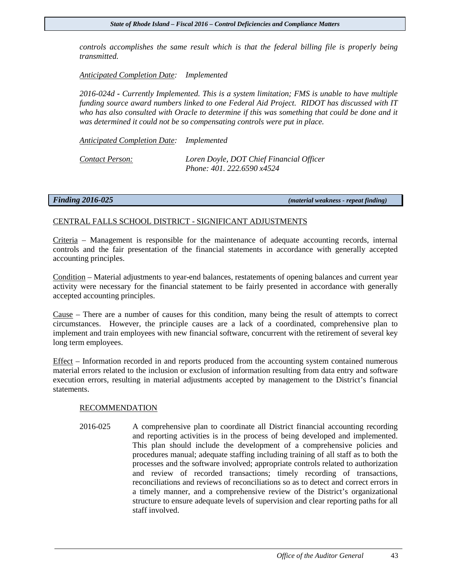*controls accomplishes the same result which is that the federal billing file is properly being transmitted.*

*Anticipated Completion Date: Implemented*

*2016-024d - Currently Implemented. This is a system limitation; FMS is unable to have multiple funding source award numbers linked to one Federal Aid Project. RIDOT has discussed with IT who has also consulted with Oracle to determine if this was something that could be done and it was determined it could not be so compensating controls were put in place.*

*Anticipated Completion Date: Implemented*

*Contact Person: Loren Doyle, DOT Chief Financial Officer Phone: 401. 222.6590 x4524*

*Finding 2016-025 (material weakness - repeat finding)*

#### CENTRAL FALLS SCHOOL DISTRICT - SIGNIFICANT ADJUSTMENTS

Criteria – Management is responsible for the maintenance of adequate accounting records, internal controls and the fair presentation of the financial statements in accordance with generally accepted accounting principles.

Condition – Material adjustments to year-end balances, restatements of opening balances and current year activity were necessary for the financial statement to be fairly presented in accordance with generally accepted accounting principles.

Cause – There are a number of causes for this condition, many being the result of attempts to correct circumstances. However, the principle causes are a lack of a coordinated, comprehensive plan to implement and train employees with new financial software, concurrent with the retirement of several key long term employees.

Effect – Information recorded in and reports produced from the accounting system contained numerous material errors related to the inclusion or exclusion of information resulting from data entry and software execution errors, resulting in material adjustments accepted by management to the District's financial statements.

#### RECOMMENDATION

2016-025 A comprehensive plan to coordinate all District financial accounting recording and reporting activities is in the process of being developed and implemented. This plan should include the development of a comprehensive policies and procedures manual; adequate staffing including training of all staff as to both the processes and the software involved; appropriate controls related to authorization and review of recorded transactions; timely recording of transactions, reconciliations and reviews of reconciliations so as to detect and correct errors in a timely manner, and a comprehensive review of the District's organizational structure to ensure adequate levels of supervision and clear reporting paths for all staff involved.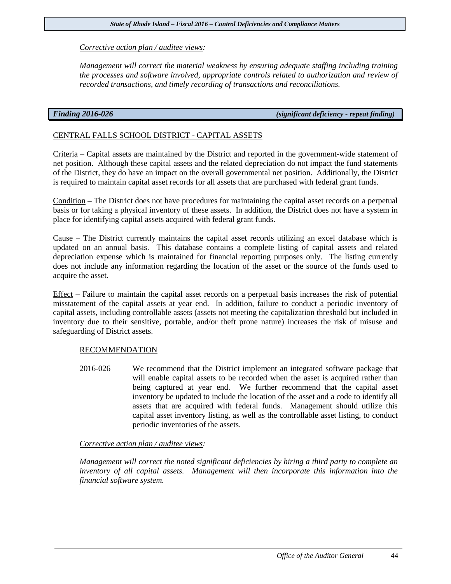#### *Corrective action plan / auditee views:*

*Management will correct the material weakness by ensuring adequate staffing including training the processes and software involved, appropriate controls related to authorization and review of recorded transactions, and timely recording of transactions and reconciliations.*

*Finding 2016-026 (significant deficiency - repeat finding)*

### CENTRAL FALLS SCHOOL DISTRICT - CAPITAL ASSETS

Criteria – Capital assets are maintained by the District and reported in the government-wide statement of net position. Although these capital assets and the related depreciation do not impact the fund statements of the District, they do have an impact on the overall governmental net position. Additionally, the District is required to maintain capital asset records for all assets that are purchased with federal grant funds.

Condition – The District does not have procedures for maintaining the capital asset records on a perpetual basis or for taking a physical inventory of these assets. In addition, the District does not have a system in place for identifying capital assets acquired with federal grant funds.

Cause – The District currently maintains the capital asset records utilizing an excel database which is updated on an annual basis. This database contains a complete listing of capital assets and related depreciation expense which is maintained for financial reporting purposes only. The listing currently does not include any information regarding the location of the asset or the source of the funds used to acquire the asset.

Effect – Failure to maintain the capital asset records on a perpetual basis increases the risk of potential misstatement of the capital assets at year end. In addition, failure to conduct a periodic inventory of capital assets, including controllable assets (assets not meeting the capitalization threshold but included in inventory due to their sensitive, portable, and/or theft prone nature) increases the risk of misuse and safeguarding of District assets.

#### RECOMMENDATION

2016-026 We recommend that the District implement an integrated software package that will enable capital assets to be recorded when the asset is acquired rather than being captured at year end. We further recommend that the capital asset inventory be updated to include the location of the asset and a code to identify all assets that are acquired with federal funds. Management should utilize this capital asset inventory listing, as well as the controllable asset listing, to conduct periodic inventories of the assets.

#### *Corrective action plan / auditee views:*

*Management will correct the noted significant deficiencies by hiring a third party to complete an inventory of all capital assets. Management will then incorporate this information into the financial software system.*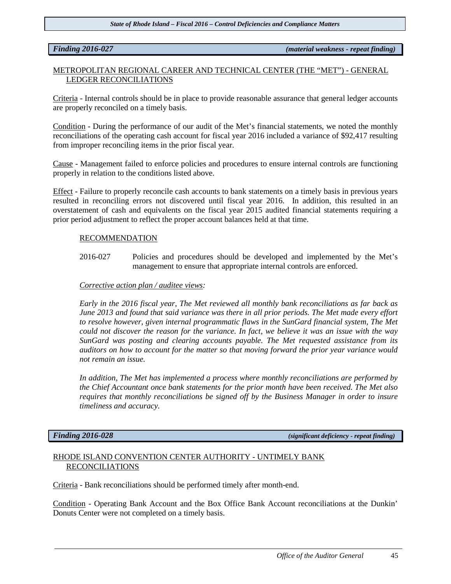*Finding 2016-027 (material weakness - repeat finding)*

### METROPOLITAN REGIONAL CAREER AND TECHNICAL CENTER (THE "MET") - GENERAL LEDGER RECONCILIATIONS

Criteria - Internal controls should be in place to provide reasonable assurance that general ledger accounts are properly reconciled on a timely basis.

Condition - During the performance of our audit of the Met's financial statements, we noted the monthly reconciliations of the operating cash account for fiscal year 2016 included a variance of \$92,417 resulting from improper reconciling items in the prior fiscal year.

Cause - Management failed to enforce policies and procedures to ensure internal controls are functioning properly in relation to the conditions listed above.

Effect - Failure to properly reconcile cash accounts to bank statements on a timely basis in previous years resulted in reconciling errors not discovered until fiscal year 2016. In addition, this resulted in an overstatement of cash and equivalents on the fiscal year 2015 audited financial statements requiring a prior period adjustment to reflect the proper account balances held at that time.

#### RECOMMENDATION

2016-027 Policies and procedures should be developed and implemented by the Met's management to ensure that appropriate internal controls are enforced.

#### *Corrective action plan / auditee views:*

*Early in the 2016 fiscal year, The Met reviewed all monthly bank reconciliations as far back as June 2013 and found that said variance was there in all prior periods. The Met made every effort to resolve however, given internal programmatic flaws in the SunGard financial system, The Met could not discover the reason for the variance. In fact, we believe it was an issue with the way SunGard was posting and clearing accounts payable. The Met requested assistance from its auditors on how to account for the matter so that moving forward the prior year variance would not remain an issue.*

*In addition, The Met has implemented a process where monthly reconciliations are performed by the Chief Accountant once bank statements for the prior month have been received. The Met also requires that monthly reconciliations be signed off by the Business Manager in order to insure timeliness and accuracy.*

*Finding 2016-028 (significant deficiency - repeat finding)*

### RHODE ISLAND CONVENTION CENTER AUTHORITY - UNTIMELY BANK RECONCILIATIONS

Criteria - Bank reconciliations should be performed timely after month-end.

Condition - Operating Bank Account and the Box Office Bank Account reconciliations at the Dunkin' Donuts Center were not completed on a timely basis.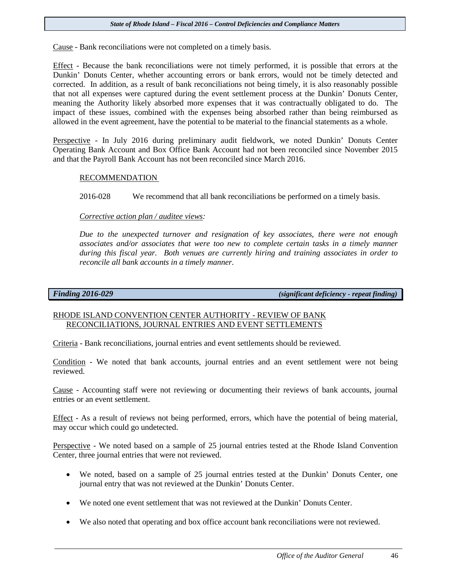Cause - Bank reconciliations were not completed on a timely basis.

Effect - Because the bank reconciliations were not timely performed, it is possible that errors at the Dunkin' Donuts Center, whether accounting errors or bank errors, would not be timely detected and corrected. In addition, as a result of bank reconciliations not being timely, it is also reasonably possible that not all expenses were captured during the event settlement process at the Dunkin' Donuts Center, meaning the Authority likely absorbed more expenses that it was contractually obligated to do. The impact of these issues, combined with the expenses being absorbed rather than being reimbursed as allowed in the event agreement, have the potential to be material to the financial statements as a whole.

Perspective - In July 2016 during preliminary audit fieldwork, we noted Dunkin' Donuts Center Operating Bank Account and Box Office Bank Account had not been reconciled since November 2015 and that the Payroll Bank Account has not been reconciled since March 2016.

#### RECOMMENDATION

2016-028 We recommend that all bank reconciliations be performed on a timely basis.

*Corrective action plan / auditee views:*

*Due to the unexpected turnover and resignation of key associates, there were not enough associates and/or associates that were too new to complete certain tasks in a timely manner during this fiscal year. Both venues are currently hiring and training associates in order to reconcile all bank accounts in a timely manner.*

*Finding 2016-029 (significant deficiency - repeat finding)*

#### RHODE ISLAND CONVENTION CENTER AUTHORITY - REVIEW OF BANK RECONCILIATIONS, JOURNAL ENTRIES AND EVENT SETTLEMENTS

Criteria - Bank reconciliations, journal entries and event settlements should be reviewed.

Condition - We noted that bank accounts, journal entries and an event settlement were not being reviewed.

Cause - Accounting staff were not reviewing or documenting their reviews of bank accounts, journal entries or an event settlement.

Effect - As a result of reviews not being performed, errors, which have the potential of being material, may occur which could go undetected.

Perspective - We noted based on a sample of 25 journal entries tested at the Rhode Island Convention Center, three journal entries that were not reviewed.

- We noted, based on a sample of 25 journal entries tested at the Dunkin' Donuts Center, one journal entry that was not reviewed at the Dunkin' Donuts Center.
- We noted one event settlement that was not reviewed at the Dunkin' Donuts Center.
- We also noted that operating and box office account bank reconciliations were not reviewed.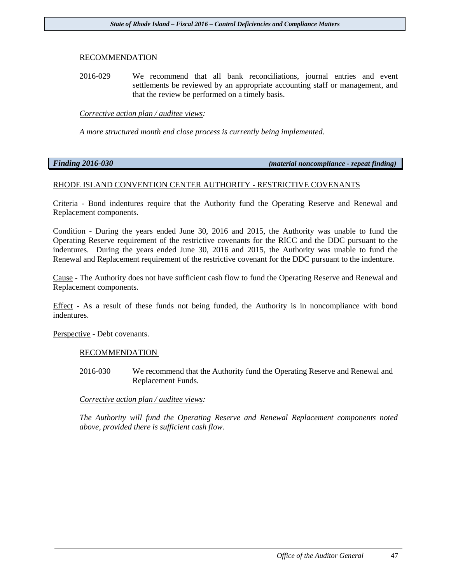#### RECOMMENDATION

2016-029 We recommend that all bank reconciliations, journal entries and event settlements be reviewed by an appropriate accounting staff or management, and that the review be performed on a timely basis.

#### *Corrective action plan / auditee views:*

*A more structured month end close process is currently being implemented.*

#### *Finding 2016-030 (material noncompliance - repeat finding)*

#### RHODE ISLAND CONVENTION CENTER AUTHORITY - RESTRICTIVE COVENANTS

Criteria - Bond indentures require that the Authority fund the Operating Reserve and Renewal and Replacement components.

Condition - During the years ended June 30, 2016 and 2015, the Authority was unable to fund the Operating Reserve requirement of the restrictive covenants for the RICC and the DDC pursuant to the indentures. During the years ended June 30, 2016 and 2015, the Authority was unable to fund the Renewal and Replacement requirement of the restrictive covenant for the DDC pursuant to the indenture.

Cause - The Authority does not have sufficient cash flow to fund the Operating Reserve and Renewal and Replacement components.

Effect - As a result of these funds not being funded, the Authority is in noncompliance with bond indentures.

Perspective - Debt covenants.

#### RECOMMENDATION

2016-030 We recommend that the Authority fund the Operating Reserve and Renewal and Replacement Funds.

#### *Corrective action plan / auditee views:*

*The Authority will fund the Operating Reserve and Renewal Replacement components noted above, provided there is sufficient cash flow.*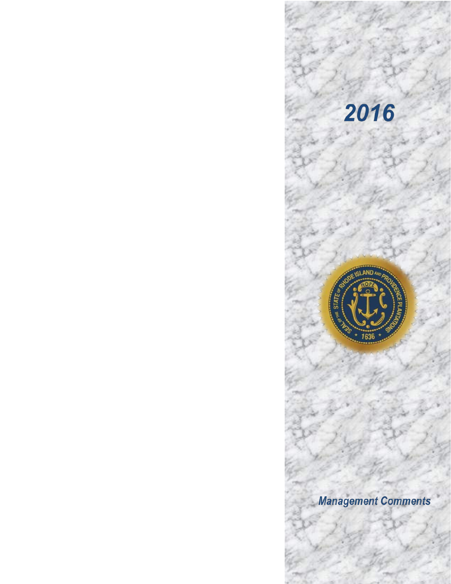

2016

# **Management Comments**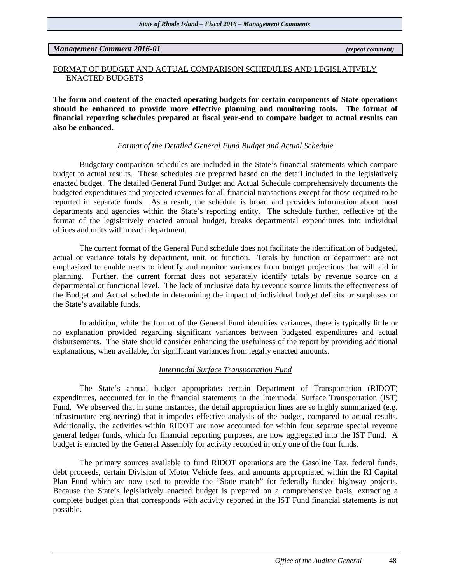*Management Comment 2016-01 (repeat comment)*

#### FORMAT OF BUDGET AND ACTUAL COMPARISON SCHEDULES AND LEGISLATIVELY ENACTED BUDGETS

**The form and content of the enacted operating budgets for certain components of State operations should be enhanced to provide more effective planning and monitoring tools. The format of financial reporting schedules prepared at fiscal year-end to compare budget to actual results can also be enhanced.**

### *Format of the Detailed General Fund Budget and Actual Schedule*

Budgetary comparison schedules are included in the State's financial statements which compare budget to actual results. These schedules are prepared based on the detail included in the legislatively enacted budget. The detailed General Fund Budget and Actual Schedule comprehensively documents the budgeted expenditures and projected revenues for all financial transactions except for those required to be reported in separate funds. As a result, the schedule is broad and provides information about most departments and agencies within the State's reporting entity. The schedule further, reflective of the format of the legislatively enacted annual budget, breaks departmental expenditures into individual offices and units within each department.

The current format of the General Fund schedule does not facilitate the identification of budgeted, actual or variance totals by department, unit, or function. Totals by function or department are not emphasized to enable users to identify and monitor variances from budget projections that will aid in planning. Further, the current format does not separately identify totals by revenue source on a departmental or functional level. The lack of inclusive data by revenue source limits the effectiveness of the Budget and Actual schedule in determining the impact of individual budget deficits or surpluses on the State's available funds.

In addition, while the format of the General Fund identifies variances, there is typically little or no explanation provided regarding significant variances between budgeted expenditures and actual disbursements. The State should consider enhancing the usefulness of the report by providing additional explanations, when available, for significant variances from legally enacted amounts.

#### *Intermodal Surface Transportation Fund*

The State's annual budget appropriates certain Department of Transportation (RIDOT) expenditures, accounted for in the financial statements in the Intermodal Surface Transportation (IST) Fund. We observed that in some instances, the detail appropriation lines are so highly summarized (e.g. infrastructure-engineering) that it impedes effective analysis of the budget, compared to actual results. Additionally, the activities within RIDOT are now accounted for within four separate special revenue general ledger funds, which for financial reporting purposes, are now aggregated into the IST Fund. A budget is enacted by the General Assembly for activity recorded in only one of the four funds.

The primary sources available to fund RIDOT operations are the Gasoline Tax, federal funds, debt proceeds, certain Division of Motor Vehicle fees, and amounts appropriated within the RI Capital Plan Fund which are now used to provide the "State match" for federally funded highway projects. Because the State's legislatively enacted budget is prepared on a comprehensive basis, extracting a complete budget plan that corresponds with activity reported in the IST Fund financial statements is not possible.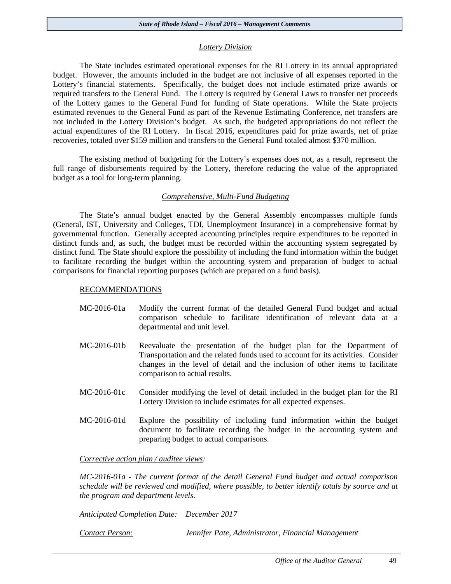#### *Lottery Division*

The State includes estimated operational expenses for the RI Lottery in its annual appropriated budget. However, the amounts included in the budget are not inclusive of all expenses reported in the Lottery's financial statements. Specifically, the budget does not include estimated prize awards or required transfers to the General Fund. The Lottery is required by General Laws to transfer net proceeds of the Lottery games to the General Fund for funding of State operations. While the State projects estimated revenues to the General Fund as part of the Revenue Estimating Conference, net transfers are not included in the Lottery Division's budget. As such, the budgeted appropriations do not reflect the actual expenditures of the RI Lottery. In fiscal 2016, expenditures paid for prize awards, net of prize recoveries, totaled over \$159 million and transfers to the General Fund totaled almost \$370 million.

The existing method of budgeting for the Lottery's expenses does not, as a result, represent the full range of disbursements required by the Lottery, therefore reducing the value of the appropriated budget as a tool for long-term planning.

#### *Comprehensive, Multi-Fund Budgeting*

The State's annual budget enacted by the General Assembly encompasses multiple funds (General, IST, University and Colleges, TDI, Unemployment Insurance) in a comprehensive format by governmental function. Generally accepted accounting principles require expenditures to be reported in distinct funds and, as such, the budget must be recorded within the accounting system segregated by distinct fund. The State should explore the possibility of including the fund information within the budget to facilitate recording the budget within the accounting system and preparation of budget to actual comparisons for financial reporting purposes (which are prepared on a fund basis).

#### RECOMMENDATIONS

- MC-2016-01a Modify the current format of the detailed General Fund budget and actual comparison schedule to facilitate identification of relevant data at a departmental and unit level.
- MC-2016-01b Reevaluate the presentation of the budget plan for the Department of Transportation and the related funds used to account for its activities. Consider changes in the level of detail and the inclusion of other items to facilitate comparison to actual results.
- MC-2016-01c Consider modifying the level of detail included in the budget plan for the RI Lottery Division to include estimates for all expected expenses.
- MC-2016-01d Explore the possibility of including fund information within the budget document to facilitate recording the budget in the accounting system and preparing budget to actual comparisons.

*Corrective action plan / auditee views:*

*MC-2016-01a - The current format of the detail General Fund budget and actual comparison schedule will be reviewed and modified, where possible, to better identify totals by source and at the program and department levels.*

*Anticipated Completion Date: December 2017*

*Contact Person: Jennifer Pate, Administrator, Financial Management*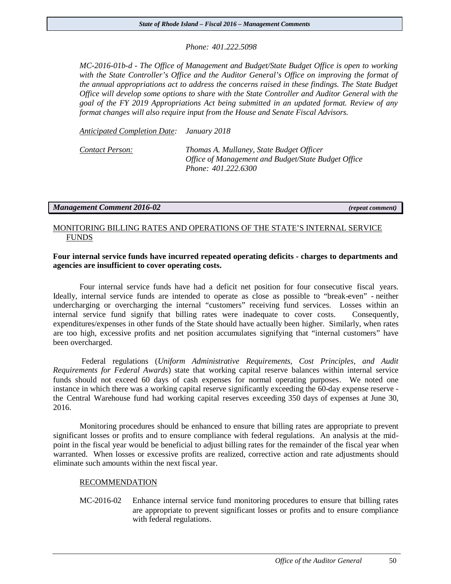*Phone: 401.222.5098*

*MC-2016-01b-d - The Office of Management and Budget/State Budget Office is open to working with the State Controller's Office and the Auditor General's Office on improving the format of the annual appropriations act to address the concerns raised in these findings. The State Budget Office will develop some options to share with the State Controller and Auditor General with the goal of the FY 2019 Appropriations Act being submitted in an updated format. Review of any format changes will also require input from the House and Senate Fiscal Advisors.*

*Anticipated Completion Date: January 2018*

*Contact Person: Thomas A. Mullaney, State Budget Officer Office of Management and Budget/State Budget Office Phone: 401.222.6300*

*Management Comment 2016-02 (repeat comment)* 

### MONITORING BILLING RATES AND OPERATIONS OF THE STATE'S INTERNAL SERVICE FUNDS

### **Four internal service funds have incurred repeated operating deficits - charges to departments and agencies are insufficient to cover operating costs.**

Four internal service funds have had a deficit net position for four consecutive fiscal years. Ideally, internal service funds are intended to operate as close as possible to "break-even" - neither undercharging or overcharging the internal "customers" receiving fund services. Losses within an internal service fund signify that billing rates were inadequate to cover costs. Consequently, expenditures/expenses in other funds of the State should have actually been higher. Similarly, when rates are too high, excessive profits and net position accumulates signifying that "internal customers" have been overcharged.

Federal regulations (*Uniform Administrative Requirements, Cost Principles, and Audit Requirements for Federal Awards*) state that working capital reserve balances within internal service funds should not exceed 60 days of cash expenses for normal operating purposes. We noted one instance in which there was a working capital reserve significantly exceeding the 60-day expense reserve the Central Warehouse fund had working capital reserves exceeding 350 days of expenses at June 30, 2016.

Monitoring procedures should be enhanced to ensure that billing rates are appropriate to prevent significant losses or profits and to ensure compliance with federal regulations. An analysis at the midpoint in the fiscal year would be beneficial to adjust billing rates for the remainder of the fiscal year when warranted. When losses or excessive profits are realized, corrective action and rate adjustments should eliminate such amounts within the next fiscal year.

#### RECOMMENDATION

MC-2016-02 Enhance internal service fund monitoring procedures to ensure that billing rates are appropriate to prevent significant losses or profits and to ensure compliance with federal regulations.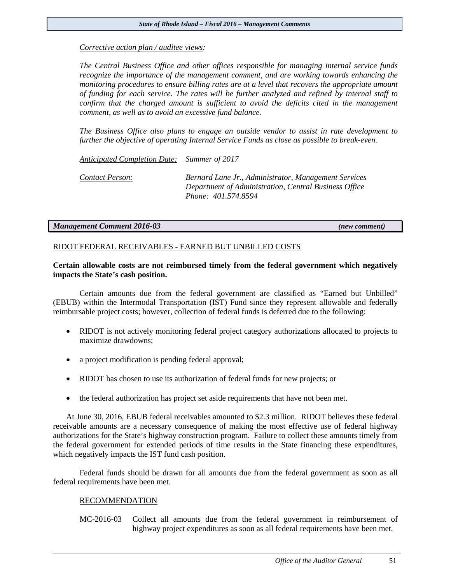#### *Corrective action plan / auditee views:*

*The Central Business Office and other offices responsible for managing internal service funds recognize the importance of the management comment, and are working towards enhancing the monitoring procedures to ensure billing rates are at a level that recovers the appropriate amount of funding for each service. The rates will be further analyzed and refined by internal staff to confirm that the charged amount is sufficient to avoid the deficits cited in the management comment, as well as to avoid an excessive fund balance.*

*The Business Office also plans to engage an outside vendor to assist in rate development to further the objective of operating Internal Service Funds as close as possible to break-even.* 

*Anticipated Completion Date: Summer of 2017*

*Contact Person: Bernard Lane Jr., Administrator, Management Services Department of Administration, Central Business Office Phone: 401.574.8594*

#### *Management Comment 2016-03 (new comment)*

#### RIDOT FEDERAL RECEIVABLES - EARNED BUT UNBILLED COSTS

#### **Certain allowable costs are not reimbursed timely from the federal government which negatively impacts the State's cash position.**

Certain amounts due from the federal government are classified as "Earned but Unbilled" (EBUB) within the Intermodal Transportation (IST) Fund since they represent allowable and federally reimbursable project costs; however, collection of federal funds is deferred due to the following:

- RIDOT is not actively monitoring federal project category authorizations allocated to projects to maximize drawdowns;
- a project modification is pending federal approval;
- RIDOT has chosen to use its authorization of federal funds for new projects; or
- the federal authorization has project set aside requirements that have not been met.

At June 30, 2016, EBUB federal receivables amounted to \$2.3 million. RIDOT believes these federal receivable amounts are a necessary consequence of making the most effective use of federal highway authorizations for the State's highway construction program. Failure to collect these amounts timely from the federal government for extended periods of time results in the State financing these expenditures, which negatively impacts the IST fund cash position.

Federal funds should be drawn for all amounts due from the federal government as soon as all federal requirements have been met.

#### RECOMMENDATION

MC-2016-03 Collect all amounts due from the federal government in reimbursement of highway project expenditures as soon as all federal requirements have been met.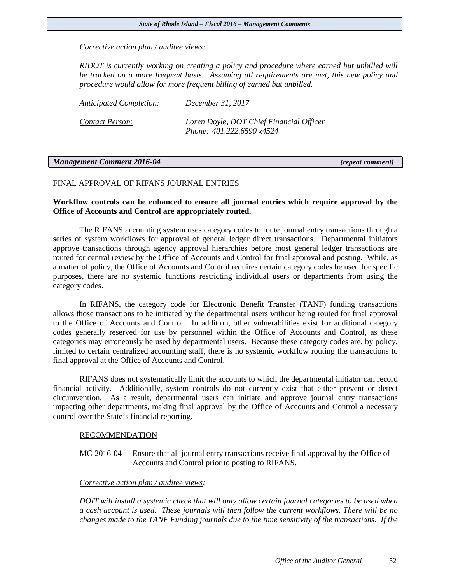*Corrective action plan / auditee views:*

*RIDOT is currently working on creating a policy and procedure where earned but unbilled will be tracked on a more frequent basis. Assuming all requirements are met, this new policy and procedure would allow for more frequent billing of earned but unbilled.*

| Anticipated Completion: | December 31, 2017                                                     |
|-------------------------|-----------------------------------------------------------------------|
| Contact Person:         | Loren Doyle, DOT Chief Financial Officer<br>Phone: 401.222.6590 x4524 |

#### *Management Comment 2016-04 (repeat comment)*

#### FINAL APPROVAL OF RIFANS JOURNAL ENTRIES

#### **Workflow controls can be enhanced to ensure all journal entries which require approval by the Office of Accounts and Control are appropriately routed.**

The RIFANS accounting system uses category codes to route journal entry transactions through a series of system workflows for approval of general ledger direct transactions. Departmental initiators approve transactions through agency approval hierarchies before most general ledger transactions are routed for central review by the Office of Accounts and Control for final approval and posting. While, as a matter of policy, the Office of Accounts and Control requires certain category codes be used for specific purposes, there are no systemic functions restricting individual users or departments from using the category codes.

In RIFANS, the category code for Electronic Benefit Transfer (TANF) funding transactions allows those transactions to be initiated by the departmental users without being routed for final approval to the Office of Accounts and Control. In addition, other vulnerabilities exist for additional category codes generally reserved for use by personnel within the Office of Accounts and Control, as these categories may erroneously be used by departmental users. Because these category codes are, by policy, limited to certain centralized accounting staff, there is no systemic workflow routing the transactions to final approval at the Office of Accounts and Control.

RIFANS does not systematically limit the accounts to which the departmental initiator can record financial activity. Additionally, system controls do not currently exist that either prevent or detect circumvention. As a result, departmental users can initiate and approve journal entry transactions impacting other departments, making final approval by the Office of Accounts and Control a necessary control over the State's financial reporting.

#### RECOMMENDATION

MC-2016-04 Ensure that all journal entry transactions receive final approval by the Office of Accounts and Control prior to posting to RIFANS.

#### *Corrective action plan / auditee views:*

*DOIT will install a systemic check that will only allow certain journal categories to be used when a cash account is used. These journals will then follow the current workflows. There will be no changes made to the TANF Funding journals due to the time sensitivity of the transactions. If the*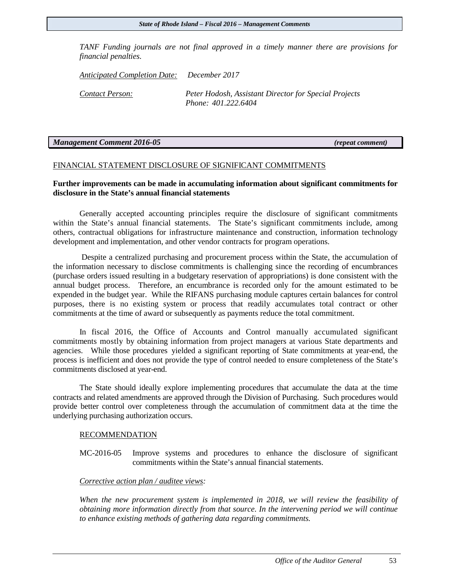#### *State of Rhode Island – Fiscal 2016 – Management Comments*

*TANF Funding journals are not final approved in a timely manner there are provisions for financial penalties.*

*Anticipated Completion Date: December 2017*

*Contact Person: Peter Hodosh, Assistant Director for Special Projects Phone: 401.222.6404*

#### *Management Comment 2016-05 (repeat comment)*

#### FINANCIAL STATEMENT DISCLOSURE OF SIGNIFICANT COMMITMENTS

### **Further improvements can be made in accumulating information about significant commitments for disclosure in the State's annual financial statements**

Generally accepted accounting principles require the disclosure of significant commitments within the State's annual financial statements. The State's significant commitments include, among others, contractual obligations for infrastructure maintenance and construction, information technology development and implementation, and other vendor contracts for program operations.

Despite a centralized purchasing and procurement process within the State, the accumulation of the information necessary to disclose commitments is challenging since the recording of encumbrances (purchase orders issued resulting in a budgetary reservation of appropriations) is done consistent with the annual budget process. Therefore, an encumbrance is recorded only for the amount estimated to be expended in the budget year. While the RIFANS purchasing module captures certain balances for control purposes, there is no existing system or process that readily accumulates total contract or other commitments at the time of award or subsequently as payments reduce the total commitment.

In fiscal 2016, the Office of Accounts and Control manually accumulated significant commitments mostly by obtaining information from project managers at various State departments and agencies. While those procedures yielded a significant reporting of State commitments at year-end, the process is inefficient and does not provide the type of control needed to ensure completeness of the State's commitments disclosed at year-end.

The State should ideally explore implementing procedures that accumulate the data at the time contracts and related amendments are approved through the Division of Purchasing. Such procedures would provide better control over completeness through the accumulation of commitment data at the time the underlying purchasing authorization occurs.

#### RECOMMENDATION

MC-2016-05 Improve systems and procedures to enhance the disclosure of significant commitments within the State's annual financial statements.

#### *Corrective action plan / auditee views:*

*When the new procurement system is implemented in 2018, we will review the feasibility of obtaining more information directly from that source. In the intervening period we will continue to enhance existing methods of gathering data regarding commitments.*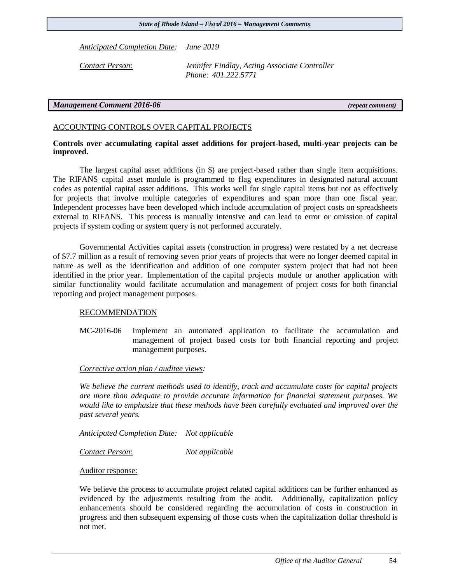*Anticipated Completion Date: June 2019*

*Contact Person: Jennifer Findlay, Acting Associate Controller Phone: 401.222.5771*

#### *Management Comment 2016-06 (repeat comment)*

#### ACCOUNTING CONTROLS OVER CAPITAL PROJECTS

#### **Controls over accumulating capital asset additions for project-based, multi-year projects can be improved.**

The largest capital asset additions (in \$) are project-based rather than single item acquisitions. The RIFANS capital asset module is programmed to flag expenditures in designated natural account codes as potential capital asset additions. This works well for single capital items but not as effectively for projects that involve multiple categories of expenditures and span more than one fiscal year. Independent processes have been developed which include accumulation of project costs on spreadsheets external to RIFANS. This process is manually intensive and can lead to error or omission of capital projects if system coding or system query is not performed accurately.

Governmental Activities capital assets (construction in progress) were restated by a net decrease of \$7.7 million as a result of removing seven prior years of projects that were no longer deemed capital in nature as well as the identification and addition of one computer system project that had not been identified in the prior year. Implementation of the capital projects module or another application with similar functionality would facilitate accumulation and management of project costs for both financial reporting and project management purposes.

#### RECOMMENDATION

MC-2016-06 Implement an automated application to facilitate the accumulation and management of project based costs for both financial reporting and project management purposes.

#### *Corrective action plan / auditee views:*

*We believe the current methods used to identify, track and accumulate costs for capital projects are more than adequate to provide accurate information for financial statement purposes. We would like to emphasize that these methods have been carefully evaluated and improved over the past several years.*

*Anticipated Completion Date: Not applicable*

*Contact Person: Not applicable*

Auditor response:

We believe the process to accumulate project related capital additions can be further enhanced as evidenced by the adjustments resulting from the audit. Additionally, capitalization policy enhancements should be considered regarding the accumulation of costs in construction in progress and then subsequent expensing of those costs when the capitalization dollar threshold is not met.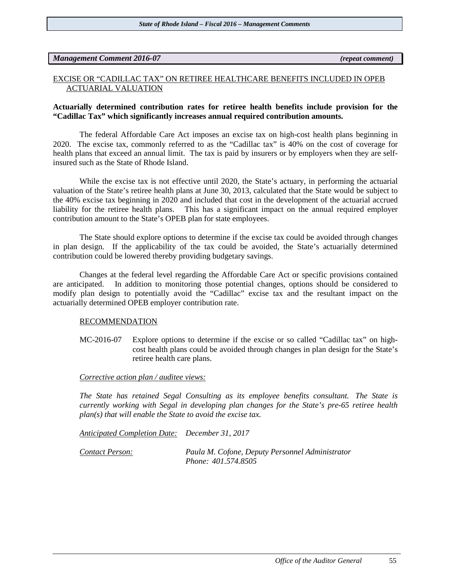#### *Management Comment 2016-07 (repeat comment)*

#### EXCISE OR "CADILLAC TAX" ON RETIREE HEALTHCARE BENEFITS INCLUDED IN OPEB ACTUARIAL VALUATION

#### **Actuarially determined contribution rates for retiree health benefits include provision for the "Cadillac Tax" which significantly increases annual required contribution amounts.**

The federal Affordable Care Act imposes an excise tax on high-cost health plans beginning in 2020. The excise tax, commonly referred to as the "Cadillac tax" is 40% on the cost of coverage for health plans that exceed an annual limit. The tax is paid by insurers or by employers when they are selfinsured such as the State of Rhode Island.

While the excise tax is not effective until 2020, the State's actuary, in performing the actuarial valuation of the State's retiree health plans at June 30, 2013, calculated that the State would be subject to the 40% excise tax beginning in 2020 and included that cost in the development of the actuarial accrued liability for the retiree health plans. This has a significant impact on the annual required employer contribution amount to the State's OPEB plan for state employees.

The State should explore options to determine if the excise tax could be avoided through changes in plan design. If the applicability of the tax could be avoided, the State's actuarially determined contribution could be lowered thereby providing budgetary savings.

Changes at the federal level regarding the Affordable Care Act or specific provisions contained are anticipated. In addition to monitoring those potential changes, options should be considered to modify plan design to potentially avoid the "Cadillac" excise tax and the resultant impact on the actuarially determined OPEB employer contribution rate.

#### RECOMMENDATION

MC-2016-07 Explore options to determine if the excise or so called "Cadillac tax" on highcost health plans could be avoided through changes in plan design for the State's retiree health care plans.

#### *Corrective action plan / auditee views:*

*The State has retained Segal Consulting as its employee benefits consultant. The State is currently working with Segal in developing plan changes for the State's pre-65 retiree health plan(s) that will enable the State to avoid the excise tax.* 

*Anticipated Completion Date: December 31, 2017*

*Contact Person: Paula M. Cofone, Deputy Personnel Administrator Phone: 401.574.8505*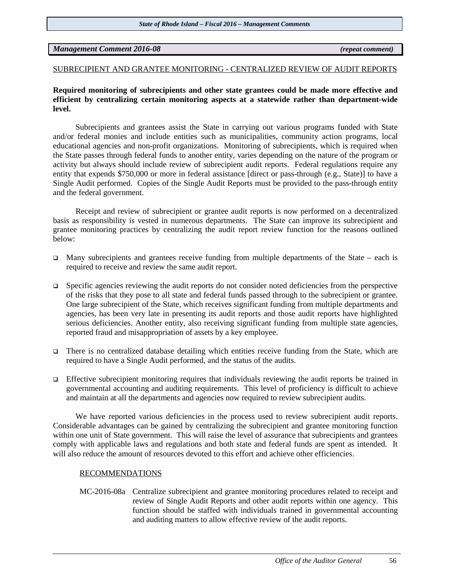*Management Comment 2016-08 (repeat comment)*

#### SUBRECIPIENT AND GRANTEE MONITORING - CENTRALIZED REVIEW OF AUDIT REPORTS

#### **Required monitoring of subrecipients and other state grantees could be made more effective and efficient by centralizing certain monitoring aspects at a statewide rather than department-wide level.**

Subrecipients and grantees assist the State in carrying out various programs funded with State and/or federal monies and include entities such as municipalities, community action programs, local educational agencies and non-profit organizations. Monitoring of subrecipients, which is required when the State passes through federal funds to another entity, varies depending on the nature of the program or activity but always should include review of subrecipient audit reports. Federal regulations require any entity that expends \$750,000 or more in federal assistance [direct or pass-through (e.g., State)] to have a Single Audit performed. Copies of the Single Audit Reports must be provided to the pass-through entity and the federal government.

Receipt and review of subrecipient or grantee audit reports is now performed on a decentralized basis as responsibility is vested in numerous departments. The State can improve its subrecipient and grantee monitoring practices by centralizing the audit report review function for the reasons outlined below:

- Many subrecipients and grantees receive funding from multiple departments of the State each is required to receive and review the same audit report.
- $\Box$  Specific agencies reviewing the audit reports do not consider noted deficiencies from the perspective of the risks that they pose to all state and federal funds passed through to the subrecipient or grantee. One large subrecipient of the State, which receives significant funding from multiple departments and agencies, has been very late in presenting its audit reports and those audit reports have highlighted serious deficiencies. Another entity, also receiving significant funding from multiple state agencies, reported fraud and misappropriation of assets by a key employee.
- There is no centralized database detailing which entities receive funding from the State, which are required to have a Single Audit performed, and the status of the audits.
- Effective subrecipient monitoring requires that individuals reviewing the audit reports be trained in governmental accounting and auditing requirements. This level of proficiency is difficult to achieve and maintain at all the departments and agencies now required to review subrecipient audits.

We have reported various deficiencies in the process used to review subrecipient audit reports. Considerable advantages can be gained by centralizing the subrecipient and grantee monitoring function within one unit of State government. This will raise the level of assurance that subrecipients and grantees comply with applicable laws and regulations and both state and federal funds are spent as intended. It will also reduce the amount of resources devoted to this effort and achieve other efficiencies.

#### RECOMMENDATIONS

MC-2016-08a Centralize subrecipient and grantee monitoring procedures related to receipt and review of Single Audit Reports and other audit reports within one agency. This function should be staffed with individuals trained in governmental accounting and auditing matters to allow effective review of the audit reports.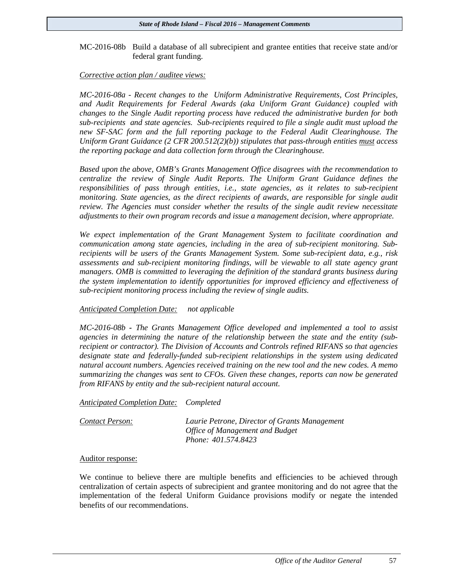#### MC-2016-08b Build a database of all subrecipient and grantee entities that receive state and/or federal grant funding.

#### *Corrective action plan / auditee views:*

*MC-2016-08a - Recent changes to the Uniform Administrative Requirements, Cost Principles, and Audit Requirements for Federal Awards (aka Uniform Grant Guidance) coupled with changes to the Single Audit reporting process have reduced the administrative burden for both sub-recipients and state agencies. Sub-recipients required to file a single audit must upload the new SF-SAC form and the full reporting package to the Federal Audit Clearinghouse. The Uniform Grant Guidance (2 CFR 200.512(2)(b)) stipulates that pass-through entities must access the reporting package and data collection form through the Clearinghouse.* 

*Based upon the above, OMB's Grants Management Office disagrees with the recommendation to centralize the review of Single Audit Reports. The Uniform Grant Guidance defines the responsibilities of pass through entities, i.e., state agencies, as it relates to sub-recipient monitoring. State agencies, as the direct recipients of awards, are responsible for single audit review. The Agencies must consider whether the results of the single audit review necessitate adjustments to their own program records and issue a management decision, where appropriate.* 

*We expect implementation of the Grant Management System to facilitate coordination and communication among state agencies, including in the area of sub-recipient monitoring. Subrecipients will be users of the Grants Management System. Some sub-recipient data, e.g., risk assessments and sub-recipient monitoring findings, will be viewable to all state agency grant managers. OMB is committed to leveraging the definition of the standard grants business during the system implementation to identify opportunities for improved efficiency and effectiveness of sub-recipient monitoring process including the review of single audits.* 

#### *Anticipated Completion Date: not applicable*

*MC-2016-08b - The Grants Management Office developed and implemented a tool to assist agencies in determining the nature of the relationship between the state and the entity (subrecipient or contractor). The Division of Accounts and Controls refined RIFANS so that agencies designate state and federally-funded sub-recipient relationships in the system using dedicated natural account numbers. Agencies received training on the new tool and the new codes. A memo summarizing the changes was sent to CFOs. Given these changes, reports can now be generated from RIFANS by entity and the sub-recipient natural account.* 

#### *Anticipated Completion Date: Completed*

| Contact Person: | Laurie Petrone, Director of Grants Management |
|-----------------|-----------------------------------------------|
|                 | Office of Management and Budget               |
|                 | Phone: 401.574.8423                           |

#### Auditor response:

We continue to believe there are multiple benefits and efficiencies to be achieved through centralization of certain aspects of subrecipient and grantee monitoring and do not agree that the implementation of the federal Uniform Guidance provisions modify or negate the intended benefits of our recommendations.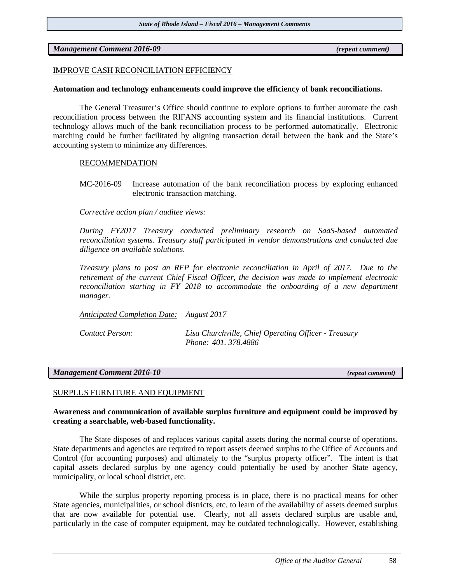*Management Comment 2016-09 (repeat comment)* 

#### IMPROVE CASH RECONCILIATION EFFICIENCY

#### **Automation and technology enhancements could improve the efficiency of bank reconciliations.**

The General Treasurer's Office should continue to explore options to further automate the cash reconciliation process between the RIFANS accounting system and its financial institutions. Current technology allows much of the bank reconciliation process to be performed automatically. Electronic matching could be further facilitated by aligning transaction detail between the bank and the State's accounting system to minimize any differences.

#### RECOMMENDATION

MC-2016-09 Increase automation of the bank reconciliation process by exploring enhanced electronic transaction matching.

#### *Corrective action plan / auditee views:*

*During FY2017 Treasury conducted preliminary research on SaaS-based automated reconciliation systems. Treasury staff participated in vendor demonstrations and conducted due diligence on available solutions.* 

*Treasury plans to post an RFP for electronic reconciliation in April of 2017. Due to the retirement of the current Chief Fiscal Officer, the decision was made to implement electronic reconciliation starting in FY 2018 to accommodate the onboarding of a new department manager.*

*Anticipated Completion Date: August 2017*

*Contact Person: Lisa Churchville, Chief Operating Officer - Treasury Phone: 401. 378.4886*

#### *Management Comment 2016-10 (repeat comment)*

#### SURPLUS FURNITURE AND EQUIPMENT

#### **Awareness and communication of available surplus furniture and equipment could be improved by creating a searchable, web-based functionality.**

The State disposes of and replaces various capital assets during the normal course of operations. State departments and agencies are required to report assets deemed surplus to the Office of Accounts and Control (for accounting purposes) and ultimately to the "surplus property officer". The intent is that capital assets declared surplus by one agency could potentially be used by another State agency, municipality, or local school district, etc.

While the surplus property reporting process is in place, there is no practical means for other State agencies, municipalities, or school districts, etc. to learn of the availability of assets deemed surplus that are now available for potential use. Clearly, not all assets declared surplus are usable and, particularly in the case of computer equipment, may be outdated technologically. However, establishing